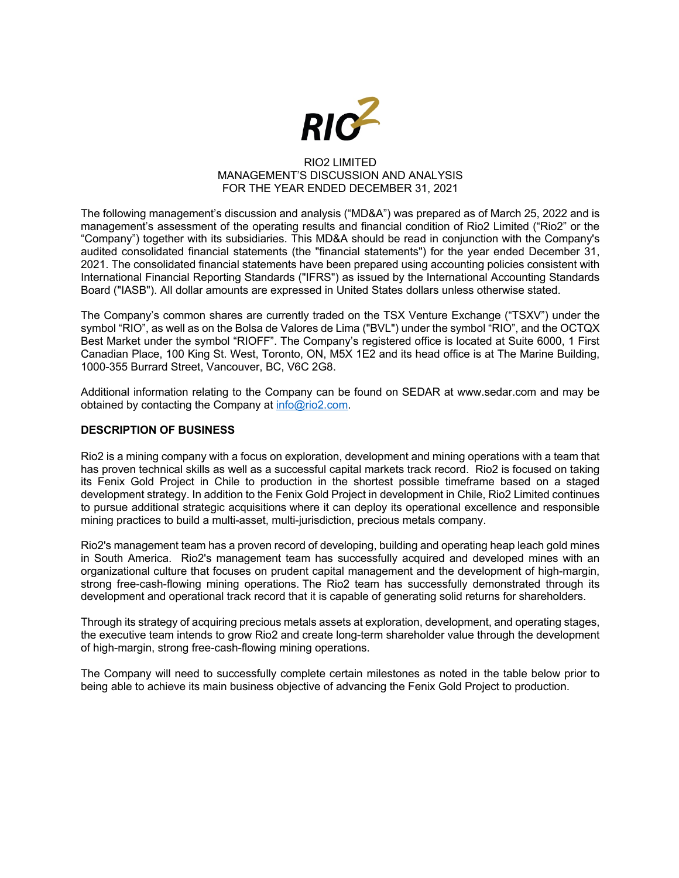

## RIO2 LIMITED MANAGEMENT'S DISCUSSION AND ANALYSIS FOR THE YEAR ENDED DECEMBER 31, 2021

The following management's discussion and analysis ("MD&A") was prepared as of March 25, 2022 and is management's assessment of the operating results and financial condition of Rio2 Limited ("Rio2" or the "Company") together with its subsidiaries. This MD&A should be read in conjunction with the Company's audited consolidated financial statements (the "financial statements") for the year ended December 31, 2021. The consolidated financial statements have been prepared using accounting policies consistent with International Financial Reporting Standards ("IFRS") as issued by the International Accounting Standards Board ("IASB"). All dollar amounts are expressed in United States dollars unless otherwise stated.

The Company's common shares are currently traded on the TSX Venture Exchange ("TSXV") under the symbol "RIO", as well as on the Bolsa de Valores de Lima ("BVL") under the symbol "RIO", and the OCTQX Best Market under the symbol "RIOFF". The Company's registered office is located at Suite 6000, 1 First Canadian Place, 100 King St. West, Toronto, ON, M5X 1E2 and its head office is at The Marine Building, 1000-355 Burrard Street, Vancouver, BC, V6C 2G8.

Additional information relating to the Company can be found on SEDAR at www.sedar.com and may be obtained by contacting the Company at info@rio2.com.

## **DESCRIPTION OF BUSINESS**

Rio2 is a mining company with a focus on exploration, development and mining operations with a team that has proven technical skills as well as a successful capital markets track record. Rio2 is focused on taking its Fenix Gold Project in Chile to production in the shortest possible timeframe based on a staged development strategy. In addition to the Fenix Gold Project in development in Chile, Rio2 Limited continues to pursue additional strategic acquisitions where it can deploy its operational excellence and responsible mining practices to build a multi-asset, multi-jurisdiction, precious metals company.

Rio2's management team has a proven record of developing, building and operating heap leach gold mines in South America. Rio2's management team has successfully acquired and developed mines with an organizational culture that focuses on prudent capital management and the development of high-margin, strong free-cash-flowing mining operations. The Rio2 team has successfully demonstrated through its development and operational track record that it is capable of generating solid returns for shareholders.

Through its strategy of acquiring precious metals assets at exploration, development, and operating stages, the executive team intends to grow Rio2 and create long-term shareholder value through the development of high-margin, strong free-cash-flowing mining operations.

The Company will need to successfully complete certain milestones as noted in the table below prior to being able to achieve its main business objective of advancing the Fenix Gold Project to production.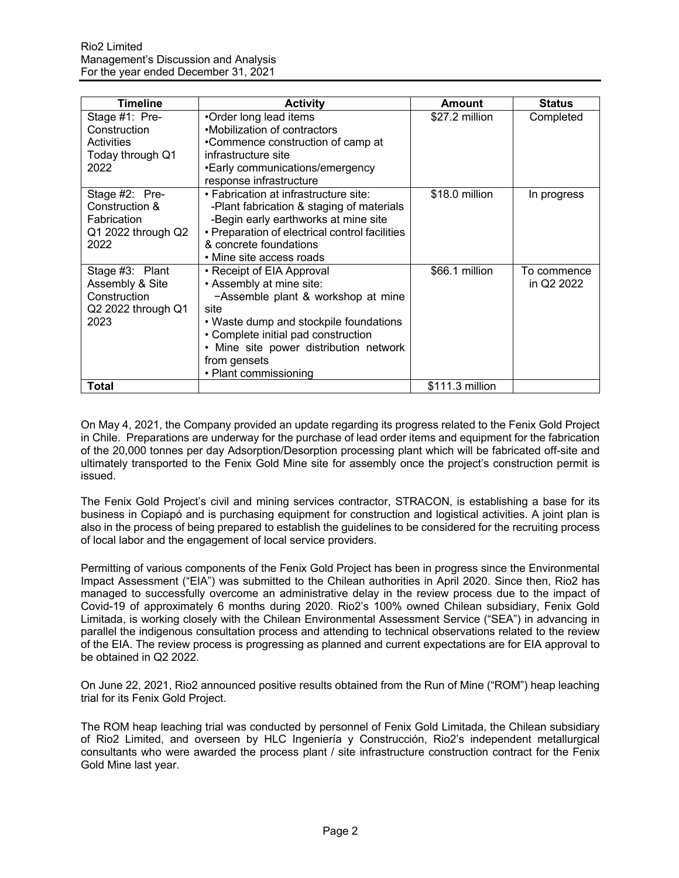| <b>Timeline</b>                                                                  | <b>Activity</b>                                                                                                                                                                                                                                                         | Amount          | <b>Status</b>             |
|----------------------------------------------------------------------------------|-------------------------------------------------------------------------------------------------------------------------------------------------------------------------------------------------------------------------------------------------------------------------|-----------------|---------------------------|
| Stage #1: Pre-<br>Construction<br>Activities<br>Today through Q1<br>2022         | •Order long lead items<br>•Mobilization of contractors<br>•Commence construction of camp at<br>infrastructure site<br>•Early communications/emergency<br>response infrastructure                                                                                        | \$27.2 million  | Completed                 |
| Stage #2: Pre-<br>Construction &<br>Fabrication<br>Q1 2022 through Q2<br>2022    | • Fabrication at infrastructure site:<br>-Plant fabrication & staging of materials<br>-Begin early earthworks at mine site<br>• Preparation of electrical control facilities<br>& concrete foundations<br>• Mine site access roads                                      | \$18.0 million  | In progress               |
| Stage #3: Plant<br>Assembly & Site<br>Construction<br>Q2 2022 through Q1<br>2023 | • Receipt of EIA Approval<br>• Assembly at mine site:<br>-Assemble plant & workshop at mine<br>site<br>• Waste dump and stockpile foundations<br>• Complete initial pad construction<br>• Mine site power distribution network<br>from gensets<br>• Plant commissioning | \$66.1 million  | To commence<br>in Q2 2022 |
| <b>Total</b>                                                                     |                                                                                                                                                                                                                                                                         | \$111.3 million |                           |

On May 4, 2021, the Company provided an update regarding its progress related to the Fenix Gold Project in Chile. Preparations are underway for the purchase of lead order items and equipment for the fabrication of the 20,000 tonnes per day Adsorption/Desorption processing plant which will be fabricated off-site and ultimately transported to the Fenix Gold Mine site for assembly once the project's construction permit is issued.

The Fenix Gold Project's civil and mining services contractor, STRACON, is establishing a base for its business in Copiapó and is purchasing equipment for construction and logistical activities. A joint plan is also in the process of being prepared to establish the guidelines to be considered for the recruiting process of local labor and the engagement of local service providers.

Permitting of various components of the Fenix Gold Project has been in progress since the Environmental Impact Assessment ("EIA") was submitted to the Chilean authorities in April 2020. Since then, Rio2 has managed to successfully overcome an administrative delay in the review process due to the impact of Covid-19 of approximately 6 months during 2020. Rio2's 100% owned Chilean subsidiary, Fenix Gold Limitada, is working closely with the Chilean Environmental Assessment Service ("SEA") in advancing in parallel the indigenous consultation process and attending to technical observations related to the review of the EIA. The review process is progressing as planned and current expectations are for EIA approval to be obtained in Q2 2022.

On June 22, 2021, Rio2 announced positive results obtained from the Run of Mine ("ROM") heap leaching trial for its Fenix Gold Project.

The ROM heap leaching trial was conducted by personnel of Fenix Gold Limitada, the Chilean subsidiary of Rio2 Limited, and overseen by HLC Ingeniería y Construcción, Rio2's independent metallurgical consultants who were awarded the process plant / site infrastructure construction contract for the Fenix Gold Mine last year.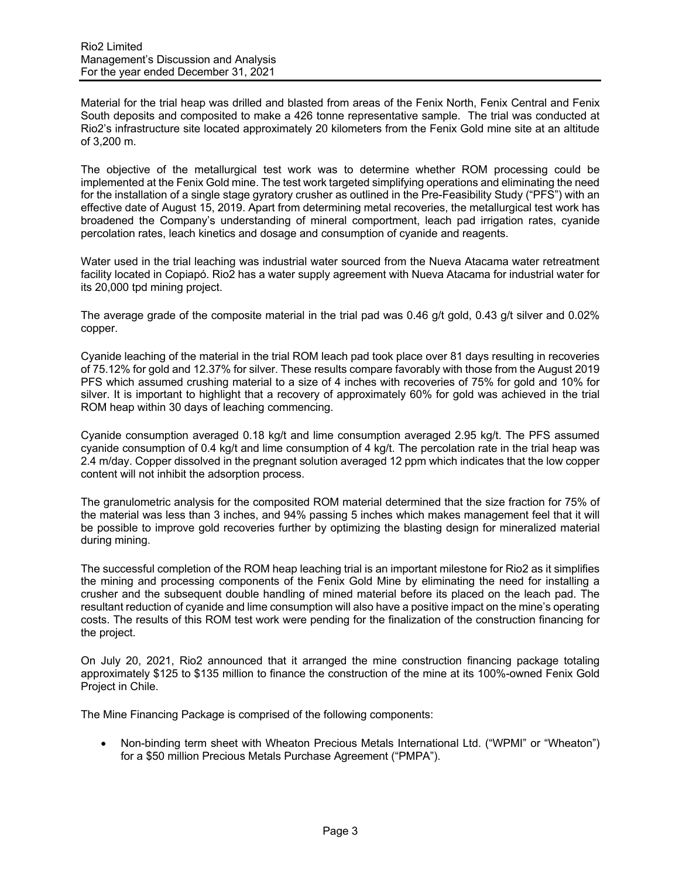Material for the trial heap was drilled and blasted from areas of the Fenix North, Fenix Central and Fenix South deposits and composited to make a 426 tonne representative sample. The trial was conducted at Rio2's infrastructure site located approximately 20 kilometers from the Fenix Gold mine site at an altitude of 3,200 m.

The objective of the metallurgical test work was to determine whether ROM processing could be implemented at the Fenix Gold mine. The test work targeted simplifying operations and eliminating the need for the installation of a single stage gyratory crusher as outlined in the Pre-Feasibility Study ("PFS") with an effective date of August 15, 2019. Apart from determining metal recoveries, the metallurgical test work has broadened the Company's understanding of mineral comportment, leach pad irrigation rates, cyanide percolation rates, leach kinetics and dosage and consumption of cyanide and reagents.

Water used in the trial leaching was industrial water sourced from the Nueva Atacama water retreatment facility located in Copiapó. Rio2 has a water supply agreement with Nueva Atacama for industrial water for its 20,000 tpd mining project.

The average grade of the composite material in the trial pad was 0.46 g/t gold, 0.43 g/t silver and 0.02% copper.

Cyanide leaching of the material in the trial ROM leach pad took place over 81 days resulting in recoveries of 75.12% for gold and 12.37% for silver. These results compare favorably with those from the August 2019 PFS which assumed crushing material to a size of 4 inches with recoveries of 75% for gold and 10% for silver. It is important to highlight that a recovery of approximately 60% for gold was achieved in the trial ROM heap within 30 days of leaching commencing.

Cyanide consumption averaged 0.18 kg/t and lime consumption averaged 2.95 kg/t. The PFS assumed cyanide consumption of 0.4 kg/t and lime consumption of 4 kg/t. The percolation rate in the trial heap was 2.4 m/day. Copper dissolved in the pregnant solution averaged 12 ppm which indicates that the low copper content will not inhibit the adsorption process.

The granulometric analysis for the composited ROM material determined that the size fraction for 75% of the material was less than 3 inches, and 94% passing 5 inches which makes management feel that it will be possible to improve gold recoveries further by optimizing the blasting design for mineralized material during mining.

The successful completion of the ROM heap leaching trial is an important milestone for Rio2 as it simplifies the mining and processing components of the Fenix Gold Mine by eliminating the need for installing a crusher and the subsequent double handling of mined material before its placed on the leach pad. The resultant reduction of cyanide and lime consumption will also have a positive impact on the mine's operating costs. The results of this ROM test work were pending for the finalization of the construction financing for the project.

On July 20, 2021, Rio2 announced that it arranged the mine construction financing package totaling approximately \$125 to \$135 million to finance the construction of the mine at its 100%-owned Fenix Gold Project in Chile.

The Mine Financing Package is comprised of the following components:

• Non-binding term sheet with Wheaton Precious Metals International Ltd. ("WPMI" or "Wheaton") for a \$50 million Precious Metals Purchase Agreement ("PMPA").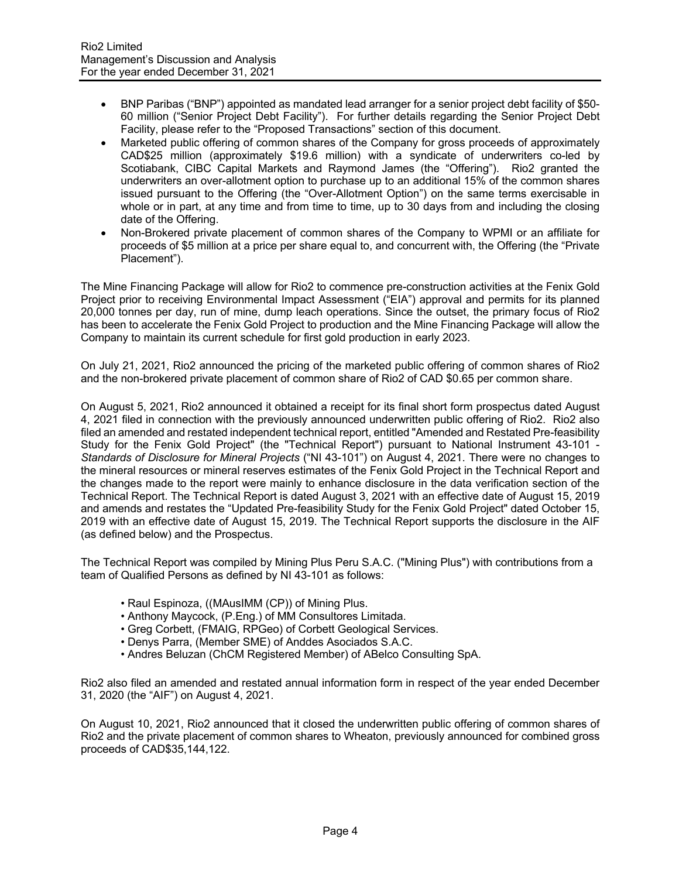- BNP Paribas ("BNP") appointed as mandated lead arranger for a senior project debt facility of \$50- 60 million ("Senior Project Debt Facility"). For further details regarding the Senior Project Debt Facility, please refer to the "Proposed Transactions" section of this document.
- Marketed public offering of common shares of the Company for gross proceeds of approximately CAD\$25 million (approximately \$19.6 million) with a syndicate of underwriters co-led by Scotiabank, CIBC Capital Markets and Raymond James (the "Offering"). Rio2 granted the underwriters an over-allotment option to purchase up to an additional 15% of the common shares issued pursuant to the Offering (the "Over-Allotment Option") on the same terms exercisable in whole or in part, at any time and from time to time, up to 30 days from and including the closing date of the Offering.
- Non-Brokered private placement of common shares of the Company to WPMI or an affiliate for proceeds of \$5 million at a price per share equal to, and concurrent with, the Offering (the "Private Placement").

The Mine Financing Package will allow for Rio2 to commence pre-construction activities at the Fenix Gold Project prior to receiving Environmental Impact Assessment ("EIA") approval and permits for its planned 20,000 tonnes per day, run of mine, dump leach operations. Since the outset, the primary focus of Rio2 has been to accelerate the Fenix Gold Project to production and the Mine Financing Package will allow the Company to maintain its current schedule for first gold production in early 2023.

On July 21, 2021, Rio2 announced the pricing of the marketed public offering of common shares of Rio2 and the non-brokered private placement of common share of Rio2 of CAD \$0.65 per common share.

On August 5, 2021, Rio2 announced it obtained a receipt for its final short form prospectus dated August 4, 2021 filed in connection with the previously announced underwritten public offering of Rio2. Rio2 also filed an amended and restated independent technical report, entitled "Amended and Restated Pre-feasibility Study for the Fenix Gold Project" (the "Technical Report") pursuant to National Instrument 43-101 -*Standards of Disclosure for Mineral Projects* ("NI 43-101") on August 4, 2021. There were no changes to the mineral resources or mineral reserves estimates of the Fenix Gold Project in the Technical Report and the changes made to the report were mainly to enhance disclosure in the data verification section of the Technical Report. The Technical Report is dated August 3, 2021 with an effective date of August 15, 2019 and amends and restates the "Updated Pre-feasibility Study for the Fenix Gold Project" dated October 15, 2019 with an effective date of August 15, 2019. The Technical Report supports the disclosure in the AIF (as defined below) and the Prospectus.

The Technical Report was compiled by Mining Plus Peru S.A.C. ("Mining Plus") with contributions from a team of Qualified Persons as defined by NI 43-101 as follows:

- Raul Espinoza, ((MAusIMM (CP)) of Mining Plus.
- Anthony Maycock, (P.Eng.) of MM Consultores Limitada.
- Greg Corbett, (FMAIG, RPGeo) of Corbett Geological Services.
- Denys Parra, (Member SME) of Anddes Asociados S.A.C.
- Andres Beluzan (ChCM Registered Member) of ABelco Consulting SpA.

Rio2 also filed an amended and restated annual information form in respect of the year ended December 31, 2020 (the "AIF") on August 4, 2021.

On August 10, 2021, Rio2 announced that it closed the underwritten public offering of common shares of Rio2 and the private placement of common shares to Wheaton, previously announced for combined gross proceeds of CAD\$35,144,122.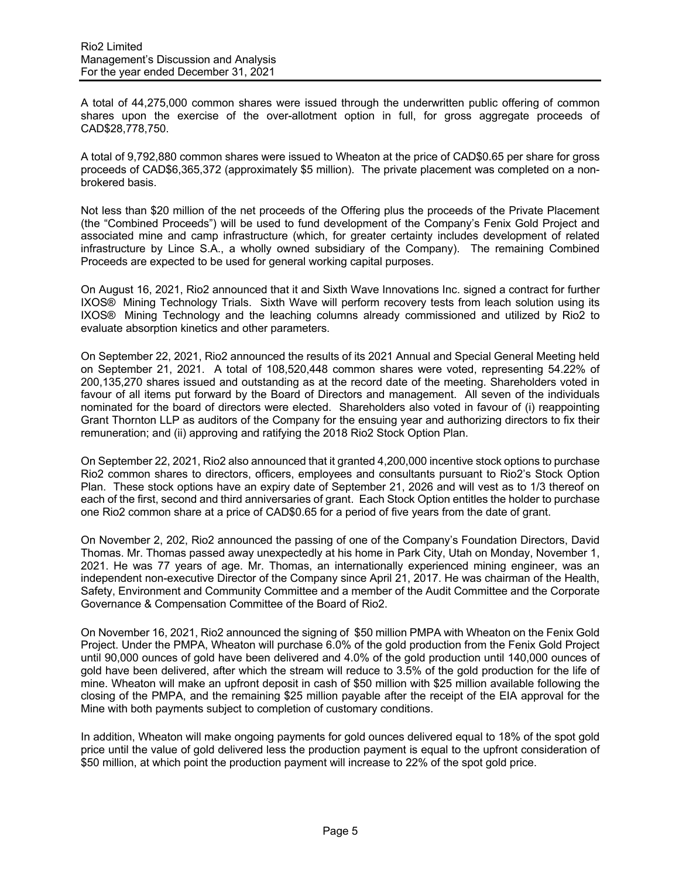A total of 44,275,000 common shares were issued through the underwritten public offering of common shares upon the exercise of the over-allotment option in full, for gross aggregate proceeds of CAD\$28,778,750.

A total of 9,792,880 common shares were issued to Wheaton at the price of CAD\$0.65 per share for gross proceeds of CAD\$6,365,372 (approximately \$5 million). The private placement was completed on a nonbrokered basis.

Not less than \$20 million of the net proceeds of the Offering plus the proceeds of the Private Placement (the "Combined Proceeds") will be used to fund development of the Company's Fenix Gold Project and associated mine and camp infrastructure (which, for greater certainty includes development of related infrastructure by Lince S.A., a wholly owned subsidiary of the Company). The remaining Combined Proceeds are expected to be used for general working capital purposes.

On August 16, 2021, Rio2 announced that it and Sixth Wave Innovations Inc. signed a contract for further IXOS® Mining Technology Trials. Sixth Wave will perform recovery tests from leach solution using its IXOS® Mining Technology and the leaching columns already commissioned and utilized by Rio2 to evaluate absorption kinetics and other parameters.

On September 22, 2021, Rio2 announced the results of its 2021 Annual and Special General Meeting held on September 21, 2021. A total of 108,520,448 common shares were voted, representing 54.22% of 200,135,270 shares issued and outstanding as at the record date of the meeting. Shareholders voted in favour of all items put forward by the Board of Directors and management. All seven of the individuals nominated for the board of directors were elected. Shareholders also voted in favour of (i) reappointing Grant Thornton LLP as auditors of the Company for the ensuing year and authorizing directors to fix their remuneration; and (ii) approving and ratifying the 2018 Rio2 Stock Option Plan.

On September 22, 2021, Rio2 also announced that it granted 4,200,000 incentive stock options to purchase Rio2 common shares to directors, officers, employees and consultants pursuant to Rio2's Stock Option Plan. These stock options have an expiry date of September 21, 2026 and will vest as to 1/3 thereof on each of the first, second and third anniversaries of grant. Each Stock Option entitles the holder to purchase one Rio2 common share at a price of CAD\$0.65 for a period of five years from the date of grant.

On November 2, 202, Rio2 announced the passing of one of the Company's Foundation Directors, David Thomas. Mr. Thomas passed away unexpectedly at his home in Park City, Utah on Monday, November 1, 2021. He was 77 years of age. Mr. Thomas, an internationally experienced mining engineer, was an independent non-executive Director of the Company since April 21, 2017. He was chairman of the Health, Safety, Environment and Community Committee and a member of the Audit Committee and the Corporate Governance & Compensation Committee of the Board of Rio2.

On November 16, 2021, Rio2 announced the signing of \$50 million PMPA with Wheaton on the Fenix Gold Project. Under the PMPA, Wheaton will purchase 6.0% of the gold production from the Fenix Gold Project until 90,000 ounces of gold have been delivered and 4.0% of the gold production until 140,000 ounces of gold have been delivered, after which the stream will reduce to 3.5% of the gold production for the life of mine. Wheaton will make an upfront deposit in cash of \$50 million with \$25 million available following the closing of the PMPA, and the remaining \$25 million payable after the receipt of the EIA approval for the Mine with both payments subject to completion of customary conditions.

In addition, Wheaton will make ongoing payments for gold ounces delivered equal to 18% of the spot gold price until the value of gold delivered less the production payment is equal to the upfront consideration of \$50 million, at which point the production payment will increase to 22% of the spot gold price.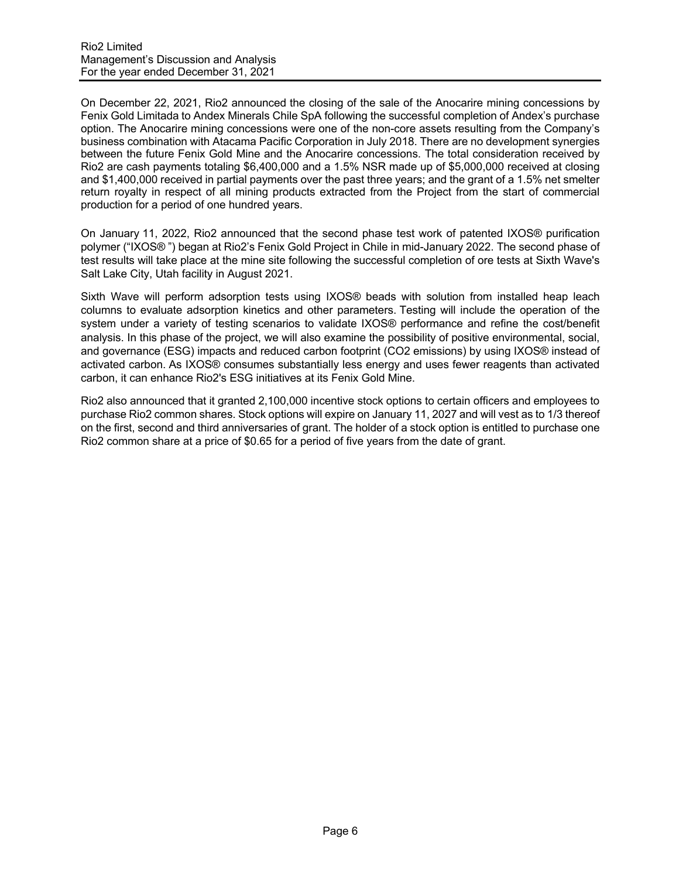On December 22, 2021, Rio2 announced the closing of the sale of the Anocarire mining concessions by Fenix Gold Limitada to Andex Minerals Chile SpA following the successful completion of Andex's purchase option. The Anocarire mining concessions were one of the non-core assets resulting from the Company's business combination with Atacama Pacific Corporation in July 2018. There are no development synergies between the future Fenix Gold Mine and the Anocarire concessions. The total consideration received by Rio2 are cash payments totaling \$6,400,000 and a 1.5% NSR made up of \$5,000,000 received at closing and \$1,400,000 received in partial payments over the past three years; and the grant of a 1.5% net smelter return royalty in respect of all mining products extracted from the Project from the start of commercial production for a period of one hundred years.

On January 11, 2022, Rio2 announced that the second phase test work of patented IXOS® purification polymer ("IXOS® ") began at Rio2's Fenix Gold Project in Chile in mid-January 2022. The second phase of test results will take place at the mine site following the successful completion of ore tests at Sixth Wave's Salt Lake City, Utah facility in August 2021.

Sixth Wave will perform adsorption tests using IXOS® beads with solution from installed heap leach columns to evaluate adsorption kinetics and other parameters. Testing will include the operation of the system under a variety of testing scenarios to validate IXOS® performance and refine the cost/benefit analysis. In this phase of the project, we will also examine the possibility of positive environmental, social, and governance (ESG) impacts and reduced carbon footprint (CO2 emissions) by using IXOS® instead of activated carbon. As IXOS® consumes substantially less energy and uses fewer reagents than activated carbon, it can enhance Rio2's ESG initiatives at its Fenix Gold Mine.

Rio2 also announced that it granted 2,100,000 incentive stock options to certain officers and employees to purchase Rio2 common shares. Stock options will expire on January 11, 2027 and will vest as to 1/3 thereof on the first, second and third anniversaries of grant. The holder of a stock option is entitled to purchase one Rio2 common share at a price of \$0.65 for a period of five years from the date of grant.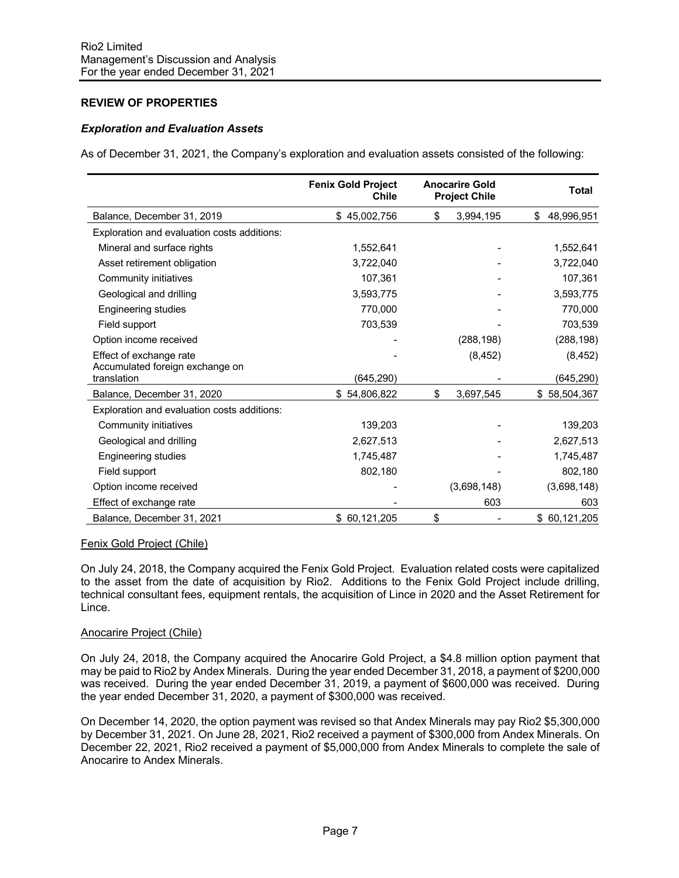# **REVIEW OF PROPERTIES**

## *Exploration and Evaluation Assets*

As of December 31, 2021, the Company's exploration and evaluation assets consisted of the following:

|                                                            | <b>Fenix Gold Project</b><br><b>Chile</b> | <b>Anocarire Gold</b><br><b>Project Chile</b> | <b>Total</b> |
|------------------------------------------------------------|-------------------------------------------|-----------------------------------------------|--------------|
| Balance, December 31, 2019                                 | \$45,002,756                              | \$<br>3,994,195                               | \$48,996,951 |
| Exploration and evaluation costs additions:                |                                           |                                               |              |
| Mineral and surface rights                                 | 1,552,641                                 |                                               | 1,552,641    |
| Asset retirement obligation                                | 3,722,040                                 |                                               | 3,722,040    |
| Community initiatives                                      | 107,361                                   |                                               | 107,361      |
| Geological and drilling                                    | 3,593,775                                 |                                               | 3,593,775    |
| Engineering studies                                        | 770,000                                   |                                               | 770,000      |
| Field support                                              | 703,539                                   |                                               | 703,539      |
| Option income received                                     |                                           | (288, 198)                                    | (288, 198)   |
| Effect of exchange rate<br>Accumulated foreign exchange on |                                           | (8, 452)                                      | (8, 452)     |
| translation                                                | (645, 290)                                |                                               | (645, 290)   |
| Balance, December 31, 2020                                 | \$54,806,822                              | \$<br>3,697,545                               | \$58,504,367 |
| Exploration and evaluation costs additions:                |                                           |                                               |              |
| Community initiatives                                      | 139,203                                   |                                               | 139,203      |
| Geological and drilling                                    | 2,627,513                                 |                                               | 2,627,513    |
| Engineering studies                                        | 1,745,487                                 |                                               | 1,745,487    |
| Field support                                              | 802,180                                   |                                               | 802,180      |
| Option income received                                     |                                           | (3,698,148)                                   | (3,698,148)  |
| Effect of exchange rate                                    |                                           | 603                                           | 603          |
| Balance, December 31, 2021                                 | \$60,121,205                              | \$                                            | \$60,121,205 |

### Fenix Gold Project (Chile)

On July 24, 2018, the Company acquired the Fenix Gold Project. Evaluation related costs were capitalized to the asset from the date of acquisition by Rio2. Additions to the Fenix Gold Project include drilling, technical consultant fees, equipment rentals, the acquisition of Lince in 2020 and the Asset Retirement for Lince.

### Anocarire Project (Chile)

On July 24, 2018, the Company acquired the Anocarire Gold Project, a \$4.8 million option payment that may be paid to Rio2 by Andex Minerals. During the year ended December 31, 2018, a payment of \$200,000 was received. During the year ended December 31, 2019, a payment of \$600,000 was received. During the year ended December 31, 2020, a payment of \$300,000 was received.

On December 14, 2020, the option payment was revised so that Andex Minerals may pay Rio2 \$5,300,000 by December 31, 2021. On June 28, 2021, Rio2 received a payment of \$300,000 from Andex Minerals. On December 22, 2021, Rio2 received a payment of \$5,000,000 from Andex Minerals to complete the sale of Anocarire to Andex Minerals.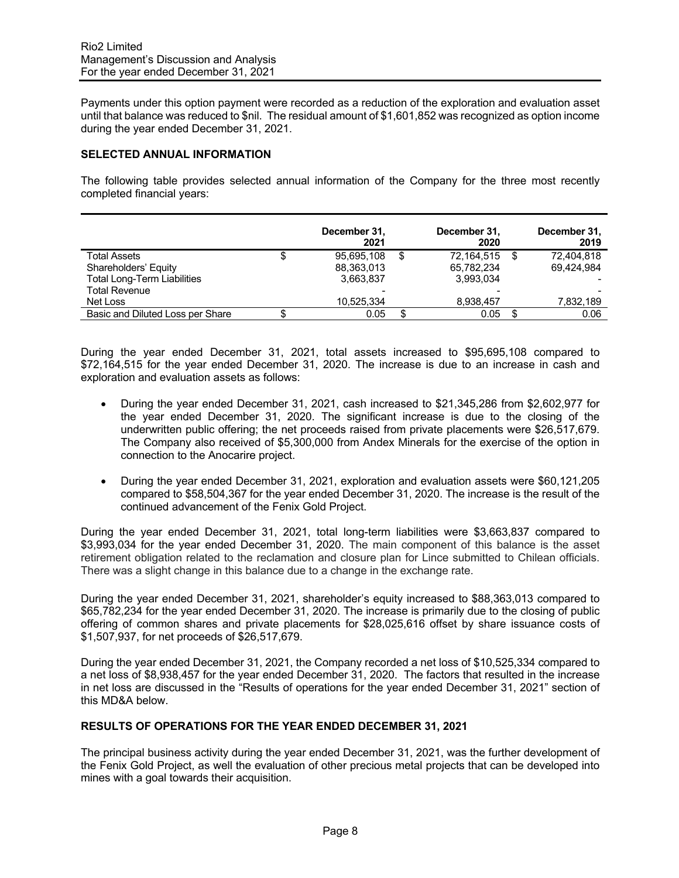Payments under this option payment were recorded as a reduction of the exploration and evaluation asset until that balance was reduced to \$nil. The residual amount of \$1,601,852 was recognized as option income during the year ended December 31, 2021.

### **SELECTED ANNUAL INFORMATION**

The following table provides selected annual information of the Company for the three most recently completed financial years:

|                                    |   | December 31,<br>2021 | December 31,<br>2020 |    | December 31,<br>2019 |
|------------------------------------|---|----------------------|----------------------|----|----------------------|
| Total Assets                       | Œ | 95,695,108           | \$<br>72,164,515     | -S | 72.404.818           |
| Shareholders' Equity               |   | 88,363,013           | 65.782.234           |    | 69.424.984           |
| <b>Total Long-Term Liabilities</b> |   | 3,663,837            | 3,993,034            |    |                      |
| <b>Total Revenue</b>               |   |                      |                      |    |                      |
| Net Loss                           |   | 10,525,334           | 8,938,457            |    | 7,832,189            |
| Basic and Diluted Loss per Share   |   | 0.05                 | 0.05                 |    | 0.06                 |

During the year ended December 31, 2021, total assets increased to \$95,695,108 compared to \$72,164,515 for the year ended December 31, 2020. The increase is due to an increase in cash and exploration and evaluation assets as follows:

- During the year ended December 31, 2021, cash increased to \$21,345,286 from \$2,602,977 for the year ended December 31, 2020. The significant increase is due to the closing of the underwritten public offering; the net proceeds raised from private placements were \$26,517,679. The Company also received of \$5,300,000 from Andex Minerals for the exercise of the option in connection to the Anocarire project.
- During the year ended December 31, 2021, exploration and evaluation assets were \$60,121,205 compared to \$58,504,367 for the year ended December 31, 2020. The increase is the result of the continued advancement of the Fenix Gold Project.

During the year ended December 31, 2021, total long-term liabilities were \$3,663,837 compared to \$3,993,034 for the year ended December 31, 2020. The main component of this balance is the asset retirement obligation related to the reclamation and closure plan for Lince submitted to Chilean officials. There was a slight change in this balance due to a change in the exchange rate.

During the year ended December 31, 2021, shareholder's equity increased to \$88,363,013 compared to \$65,782,234 for the year ended December 31, 2020. The increase is primarily due to the closing of public offering of common shares and private placements for \$28,025,616 offset by share issuance costs of \$1,507,937, for net proceeds of \$26,517,679.

During the year ended December 31, 2021, the Company recorded a net loss of \$10,525,334 compared to a net loss of \$8,938,457 for the year ended December 31, 2020. The factors that resulted in the increase in net loss are discussed in the "Results of operations for the year ended December 31, 2021" section of this MD&A below.

# **RESULTS OF OPERATIONS FOR THE YEAR ENDED DECEMBER 31, 2021**

The principal business activity during the year ended December 31, 2021, was the further development of the Fenix Gold Project, as well the evaluation of other precious metal projects that can be developed into mines with a goal towards their acquisition.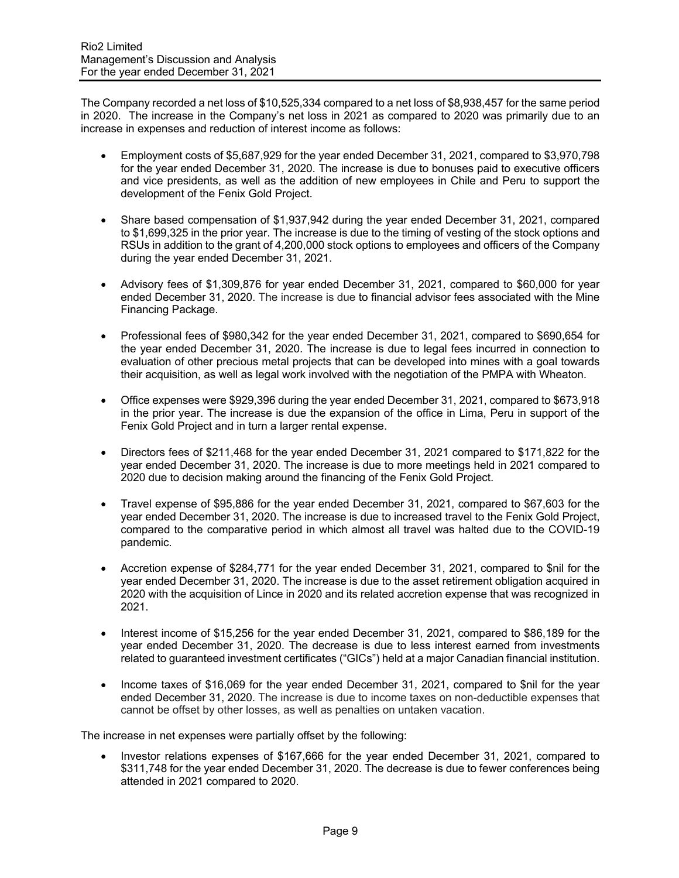The Company recorded a net loss of \$10,525,334 compared to a net loss of \$8,938,457 for the same period in 2020. The increase in the Company's net loss in 2021 as compared to 2020 was primarily due to an increase in expenses and reduction of interest income as follows:

- Employment costs of \$5,687,929 for the year ended December 31, 2021, compared to \$3,970,798 for the year ended December 31, 2020. The increase is due to bonuses paid to executive officers and vice presidents, as well as the addition of new employees in Chile and Peru to support the development of the Fenix Gold Project.
- Share based compensation of \$1,937,942 during the year ended December 31, 2021, compared to \$1,699,325 in the prior year. The increase is due to the timing of vesting of the stock options and RSUs in addition to the grant of 4,200,000 stock options to employees and officers of the Company during the year ended December 31, 2021.
- Advisory fees of \$1,309,876 for year ended December 31, 2021, compared to \$60,000 for year ended December 31, 2020. The increase is due to financial advisor fees associated with the Mine Financing Package.
- Professional fees of \$980,342 for the year ended December 31, 2021, compared to \$690,654 for the year ended December 31, 2020. The increase is due to legal fees incurred in connection to evaluation of other precious metal projects that can be developed into mines with a goal towards their acquisition, as well as legal work involved with the negotiation of the PMPA with Wheaton.
- Office expenses were \$929,396 during the year ended December 31, 2021, compared to \$673,918 in the prior year. The increase is due the expansion of the office in Lima, Peru in support of the Fenix Gold Project and in turn a larger rental expense.
- Directors fees of \$211,468 for the year ended December 31, 2021 compared to \$171,822 for the year ended December 31, 2020. The increase is due to more meetings held in 2021 compared to 2020 due to decision making around the financing of the Fenix Gold Project.
- Travel expense of \$95,886 for the year ended December 31, 2021, compared to \$67,603 for the year ended December 31, 2020. The increase is due to increased travel to the Fenix Gold Project, compared to the comparative period in which almost all travel was halted due to the COVID-19 pandemic.
- Accretion expense of \$284,771 for the year ended December 31, 2021, compared to \$nil for the year ended December 31, 2020. The increase is due to the asset retirement obligation acquired in 2020 with the acquisition of Lince in 2020 and its related accretion expense that was recognized in 2021.
- Interest income of \$15,256 for the year ended December 31, 2021, compared to \$86,189 for the year ended December 31, 2020. The decrease is due to less interest earned from investments related to guaranteed investment certificates ("GICs") held at a major Canadian financial institution.
- Income taxes of \$16,069 for the year ended December 31, 2021, compared to \$nil for the year ended December 31, 2020. The increase is due to income taxes on non-deductible expenses that cannot be offset by other losses, as well as penalties on untaken vacation.

The increase in net expenses were partially offset by the following:

• Investor relations expenses of \$167,666 for the year ended December 31, 2021, compared to \$311,748 for the year ended December 31, 2020. The decrease is due to fewer conferences being attended in 2021 compared to 2020.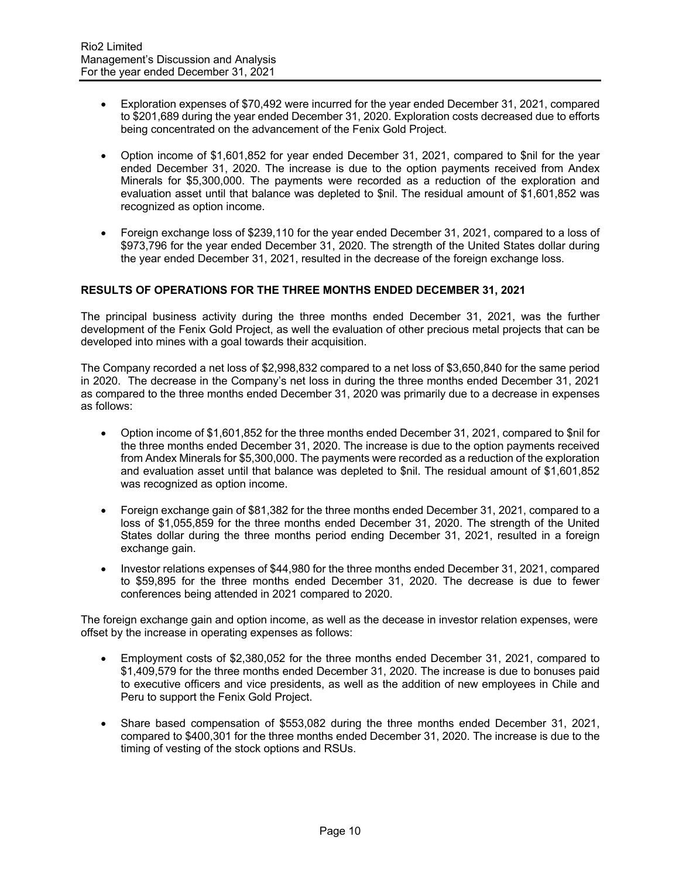- Exploration expenses of \$70,492 were incurred for the year ended December 31, 2021, compared to \$201,689 during the year ended December 31, 2020. Exploration costs decreased due to efforts being concentrated on the advancement of the Fenix Gold Project.
- Option income of \$1,601,852 for year ended December 31, 2021, compared to \$nil for the year ended December 31, 2020. The increase is due to the option payments received from Andex Minerals for \$5,300,000. The payments were recorded as a reduction of the exploration and evaluation asset until that balance was depleted to \$nil. The residual amount of \$1,601,852 was recognized as option income.
- Foreign exchange loss of \$239,110 for the year ended December 31, 2021, compared to a loss of \$973,796 for the year ended December 31, 2020. The strength of the United States dollar during the year ended December 31, 2021, resulted in the decrease of the foreign exchange loss.

# **RESULTS OF OPERATIONS FOR THE THREE MONTHS ENDED DECEMBER 31, 2021**

The principal business activity during the three months ended December 31, 2021, was the further development of the Fenix Gold Project, as well the evaluation of other precious metal projects that can be developed into mines with a goal towards their acquisition.

The Company recorded a net loss of \$2,998,832 compared to a net loss of \$3,650,840 for the same period in 2020. The decrease in the Company's net loss in during the three months ended December 31, 2021 as compared to the three months ended December 31, 2020 was primarily due to a decrease in expenses as follows:

- Option income of \$1,601,852 for the three months ended December 31, 2021, compared to \$nil for the three months ended December 31, 2020. The increase is due to the option payments received from Andex Minerals for \$5,300,000. The payments were recorded as a reduction of the exploration and evaluation asset until that balance was depleted to \$nil. The residual amount of \$1,601,852 was recognized as option income.
- Foreign exchange gain of \$81,382 for the three months ended December 31, 2021, compared to a loss of \$1,055,859 for the three months ended December 31, 2020. The strength of the United States dollar during the three months period ending December 31, 2021, resulted in a foreign exchange gain.
- Investor relations expenses of \$44,980 for the three months ended December 31, 2021, compared to \$59,895 for the three months ended December 31, 2020. The decrease is due to fewer conferences being attended in 2021 compared to 2020.

The foreign exchange gain and option income, as well as the decease in investor relation expenses, were offset by the increase in operating expenses as follows:

- Employment costs of \$2,380,052 for the three months ended December 31, 2021, compared to \$1,409,579 for the three months ended December 31, 2020. The increase is due to bonuses paid to executive officers and vice presidents, as well as the addition of new employees in Chile and Peru to support the Fenix Gold Project.
- Share based compensation of \$553,082 during the three months ended December 31, 2021, compared to \$400,301 for the three months ended December 31, 2020. The increase is due to the timing of vesting of the stock options and RSUs.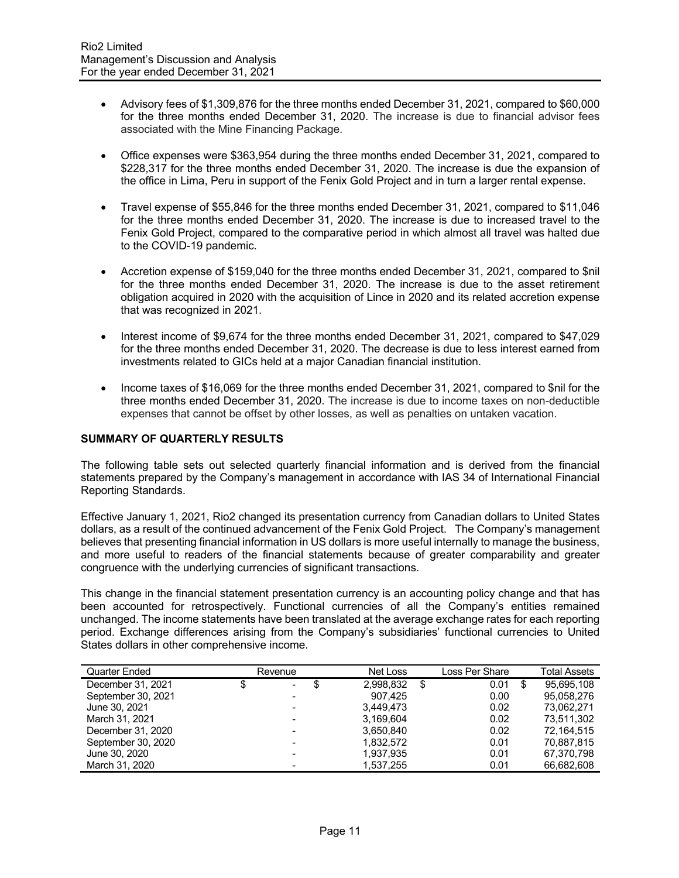- Advisory fees of \$1,309,876 for the three months ended December 31, 2021, compared to \$60,000 for the three months ended December 31, 2020. The increase is due to financial advisor fees associated with the Mine Financing Package.
- Office expenses were \$363,954 during the three months ended December 31, 2021, compared to \$228,317 for the three months ended December 31, 2020. The increase is due the expansion of the office in Lima, Peru in support of the Fenix Gold Project and in turn a larger rental expense.
- Travel expense of \$55,846 for the three months ended December 31, 2021, compared to \$11,046 for the three months ended December 31, 2020. The increase is due to increased travel to the Fenix Gold Project, compared to the comparative period in which almost all travel was halted due to the COVID-19 pandemic.
- Accretion expense of \$159,040 for the three months ended December 31, 2021, compared to \$nil for the three months ended December 31, 2020. The increase is due to the asset retirement obligation acquired in 2020 with the acquisition of Lince in 2020 and its related accretion expense that was recognized in 2021.
- Interest income of \$9,674 for the three months ended December 31, 2021, compared to \$47,029 for the three months ended December 31, 2020. The decrease is due to less interest earned from investments related to GICs held at a major Canadian financial institution.
- Income taxes of \$16,069 for the three months ended December 31, 2021, compared to \$nil for the three months ended December 31, 2020. The increase is due to income taxes on non-deductible expenses that cannot be offset by other losses, as well as penalties on untaken vacation.

# **SUMMARY OF QUARTERLY RESULTS**

The following table sets out selected quarterly financial information and is derived from the financial statements prepared by the Company's management in accordance with IAS 34 of International Financial Reporting Standards.

Effective January 1, 2021, Rio2 changed its presentation currency from Canadian dollars to United States dollars, as a result of the continued advancement of the Fenix Gold Project. The Company's management believes that presenting financial information in US dollars is more useful internally to manage the business, and more useful to readers of the financial statements because of greater comparability and greater congruence with the underlying currencies of significant transactions.

This change in the financial statement presentation currency is an accounting policy change and that has been accounted for retrospectively. Functional currencies of all the Company's entities remained unchanged. The income statements have been translated at the average exchange rates for each reporting period. Exchange differences arising from the Company's subsidiaries' functional currencies to United States dollars in other comprehensive income.

| Quarter Ended      | Revenue                       | Net Loss<br>Loss Per Share |    |      | Total Assets |            |
|--------------------|-------------------------------|----------------------------|----|------|--------------|------------|
| December 31, 2021  | S<br>$\overline{\phantom{a}}$ | 2.998.832                  | \$ | 0.01 | S            | 95.695.108 |
| September 30, 2021 |                               | 907.425                    |    | 0.00 |              | 95.058.276 |
| June 30, 2021      |                               | 3.449.473                  |    | 0.02 |              | 73.062.271 |
| March 31, 2021     |                               | 3.169.604                  |    | 0.02 |              | 73.511.302 |
| December 31, 2020  |                               | 3.650.840                  |    | 0.02 |              | 72.164.515 |
| September 30, 2020 |                               | 1.832.572                  |    | 0.01 |              | 70.887.815 |
| June 30, 2020      |                               | 1.937.935                  |    | 0.01 |              | 67.370.798 |
| March 31, 2020     |                               | 1.537.255                  |    | 0.01 |              | 66,682,608 |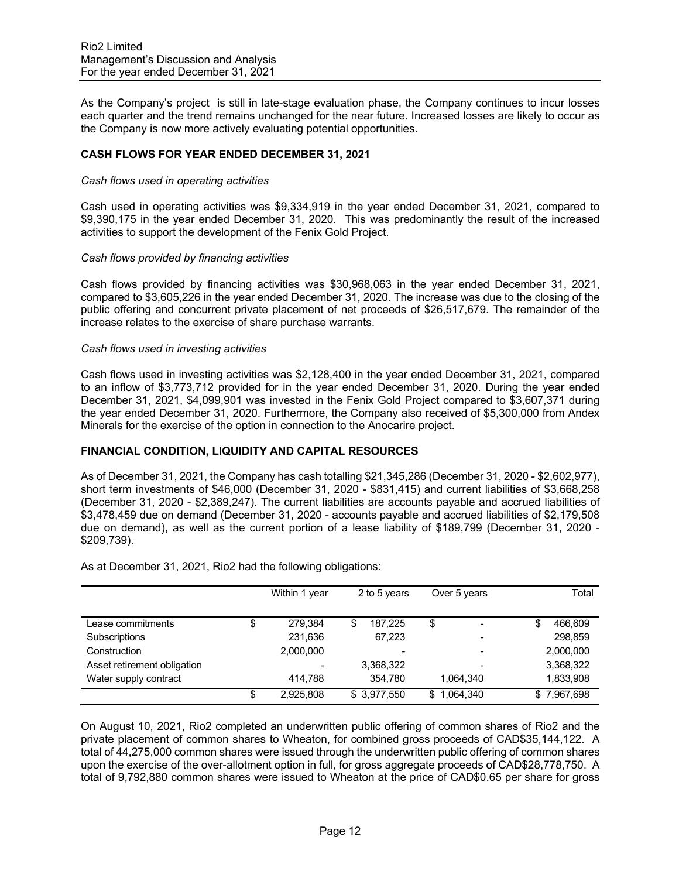As the Company's project is still in late-stage evaluation phase, the Company continues to incur losses each quarter and the trend remains unchanged for the near future. Increased losses are likely to occur as the Company is now more actively evaluating potential opportunities.

## **CASH FLOWS FOR YEAR ENDED DECEMBER 31, 2021**

#### *Cash flows used in operating activities*

Cash used in operating activities was \$9,334,919 in the year ended December 31, 2021, compared to \$9,390,175 in the year ended December 31, 2020. This was predominantly the result of the increased activities to support the development of the Fenix Gold Project.

#### *Cash flows provided by financing activities*

Cash flows provided by financing activities was \$30,968,063 in the year ended December 31, 2021, compared to \$3,605,226 in the year ended December 31, 2020. The increase was due to the closing of the public offering and concurrent private placement of net proceeds of \$26,517,679. The remainder of the increase relates to the exercise of share purchase warrants.

#### *Cash flows used in investing activities*

Cash flows used in investing activities was \$2,128,400 in the year ended December 31, 2021, compared to an inflow of \$3,773,712 provided for in the year ended December 31, 2020. During the year ended December 31, 2021, \$4,099,901 was invested in the Fenix Gold Project compared to \$3,607,371 during the year ended December 31, 2020. Furthermore, the Company also received of \$5,300,000 from Andex Minerals for the exercise of the option in connection to the Anocarire project.

### **FINANCIAL CONDITION, LIQUIDITY AND CAPITAL RESOURCES**

As of December 31, 2021, the Company has cash totalling \$21,345,286 (December 31, 2020 - \$2,602,977), short term investments of \$46,000 (December 31, 2020 - \$831,415) and current liabilities of \$3,668,258 (December 31, 2020 - \$2,389,247). The current liabilities are accounts payable and accrued liabilities of \$3,478,459 due on demand (December 31, 2020 - accounts payable and accrued liabilities of \$2,179,508 due on demand), as well as the current portion of a lease liability of \$189,799 (December 31, 2020 - \$209,739).

|                             | Within 1 year   | 2 to 5 years | Over 5 years    | Total         |
|-----------------------------|-----------------|--------------|-----------------|---------------|
| Lease commitments           | \$<br>279.384   | 187.225<br>S | \$              | \$<br>466,609 |
| Subscriptions               | 231,636         | 67,223       | -               | 298.859       |
| Construction                | 2,000,000       | ۰            | -               | 2,000,000     |
| Asset retirement obligation |                 | 3,368,322    |                 | 3,368,322     |
| Water supply contract       | 414.788         | 354,780      | 1.064.340       | 1,833,908     |
|                             | \$<br>2,925,808 | \$3,977,550  | 1,064,340<br>S. | \$7,967,698   |

As at December 31, 2021, Rio2 had the following obligations:

On August 10, 2021, Rio2 completed an underwritten public offering of common shares of Rio2 and the private placement of common shares to Wheaton, for combined gross proceeds of CAD\$35,144,122. A total of 44,275,000 common shares were issued through the underwritten public offering of common shares upon the exercise of the over-allotment option in full, for gross aggregate proceeds of CAD\$28,778,750. A total of 9,792,880 common shares were issued to Wheaton at the price of CAD\$0.65 per share for gross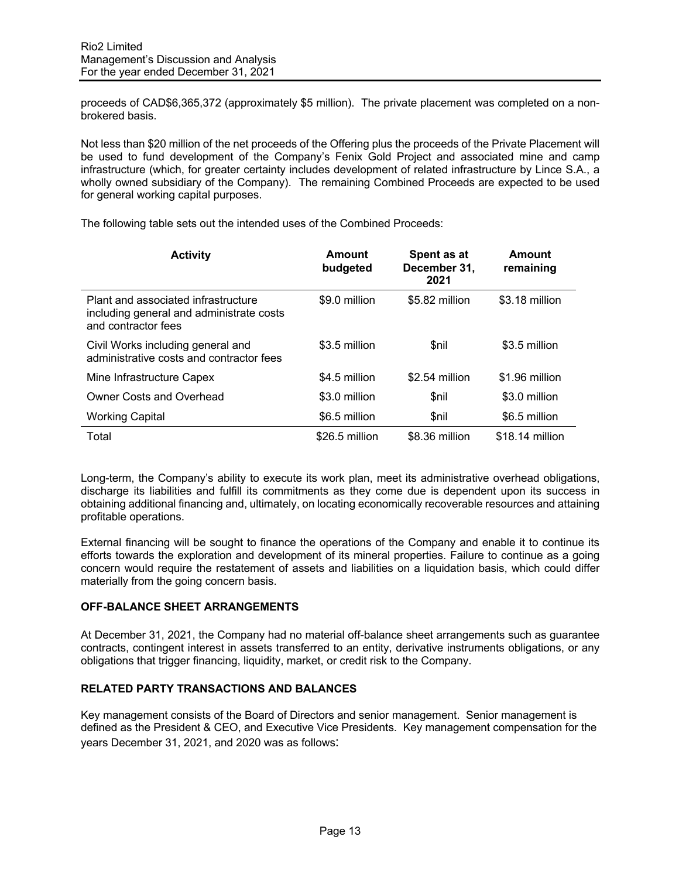proceeds of CAD\$6,365,372 (approximately \$5 million). The private placement was completed on a nonbrokered basis.

Not less than \$20 million of the net proceeds of the Offering plus the proceeds of the Private Placement will be used to fund development of the Company's Fenix Gold Project and associated mine and camp infrastructure (which, for greater certainty includes development of related infrastructure by Lince S.A., a wholly owned subsidiary of the Company). The remaining Combined Proceeds are expected to be used for general working capital purposes.

**Activity Amount budgeted Spent as at December 31, 2021 Amount remaining** Plant and associated infrastructure including general and administrate costs and contractor fees \$9.0 million \$5.82 million \$3.18 million Civil Works including general and administrative costs and contractor fees \$3.5 million \$nil \$3.5 million Mine Infrastructure Capex  $$4.5$  million  $$2.54$  million  $$1.96$  million Owner Costs and Overhead  $$3.0$  million  $$n$ il  $$3.0$  million \$3.0 million Working Capital **6.5 million** \$6.5 million \$nil \$6.5 million Total \$26.5 million \$8.36 million \$18.14 million

The following table sets out the intended uses of the Combined Proceeds:

Long-term, the Company's ability to execute its work plan, meet its administrative overhead obligations, discharge its liabilities and fulfill its commitments as they come due is dependent upon its success in obtaining additional financing and, ultimately, on locating economically recoverable resources and attaining profitable operations.

External financing will be sought to finance the operations of the Company and enable it to continue its efforts towards the exploration and development of its mineral properties. Failure to continue as a going concern would require the restatement of assets and liabilities on a liquidation basis, which could differ materially from the going concern basis.

# **OFF-BALANCE SHEET ARRANGEMENTS**

At December 31, 2021, the Company had no material off-balance sheet arrangements such as guarantee contracts, contingent interest in assets transferred to an entity, derivative instruments obligations, or any obligations that trigger financing, liquidity, market, or credit risk to the Company.

# **RELATED PARTY TRANSACTIONS AND BALANCES**

Key management consists of the Board of Directors and senior management. Senior management is defined as the President & CEO, and Executive Vice Presidents. Key management compensation for the years December 31, 2021, and 2020 was as follows: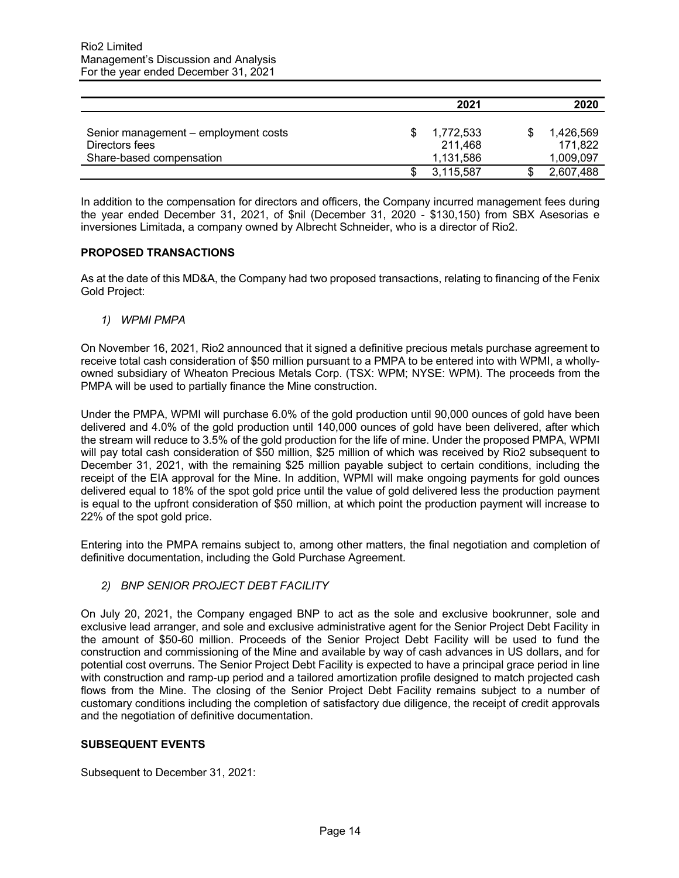|                                                        | 2021                              | 2020                   |
|--------------------------------------------------------|-----------------------------------|------------------------|
| Senior management - employment costs<br>Directors fees | 1,772,533<br>211.468<br>1,131,586 | 1,426,569<br>171.822   |
| Share-based compensation                               | 3,115,587                         | 1,009,097<br>2,607,488 |

In addition to the compensation for directors and officers, the Company incurred management fees during the year ended December 31, 2021, of \$nil (December 31, 2020 - \$130,150) from SBX Asesorias e inversiones Limitada, a company owned by Albrecht Schneider, who is a director of Rio2.

## **PROPOSED TRANSACTIONS**

As at the date of this MD&A, the Company had two proposed transactions, relating to financing of the Fenix Gold Project:

*1) WPMI PMPA*

On November 16, 2021, Rio2 announced that it signed a definitive precious metals purchase agreement to receive total cash consideration of \$50 million pursuant to a PMPA to be entered into with WPMI, a whollyowned subsidiary of Wheaton Precious Metals Corp. (TSX: WPM; NYSE: WPM). The proceeds from the PMPA will be used to partially finance the Mine construction.

Under the PMPA, WPMI will purchase 6.0% of the gold production until 90,000 ounces of gold have been delivered and 4.0% of the gold production until 140,000 ounces of gold have been delivered, after which the stream will reduce to 3.5% of the gold production for the life of mine. Under the proposed PMPA, WPMI will pay total cash consideration of \$50 million, \$25 million of which was received by Rio2 subsequent to December 31, 2021, with the remaining \$25 million payable subject to certain conditions, including the receipt of the EIA approval for the Mine. In addition, WPMI will make ongoing payments for gold ounces delivered equal to 18% of the spot gold price until the value of gold delivered less the production payment is equal to the upfront consideration of \$50 million, at which point the production payment will increase to 22% of the spot gold price.

Entering into the PMPA remains subject to, among other matters, the final negotiation and completion of definitive documentation, including the Gold Purchase Agreement.

*2) BNP SENIOR PROJECT DEBT FACILITY* 

On July 20, 2021, the Company engaged BNP to act as the sole and exclusive bookrunner, sole and exclusive lead arranger, and sole and exclusive administrative agent for the Senior Project Debt Facility in the amount of \$50-60 million. Proceeds of the Senior Project Debt Facility will be used to fund the construction and commissioning of the Mine and available by way of cash advances in US dollars, and for potential cost overruns. The Senior Project Debt Facility is expected to have a principal grace period in line with construction and ramp-up period and a tailored amortization profile designed to match projected cash flows from the Mine. The closing of the Senior Project Debt Facility remains subject to a number of customary conditions including the completion of satisfactory due diligence, the receipt of credit approvals and the negotiation of definitive documentation.

# **SUBSEQUENT EVENTS**

Subsequent to December 31, 2021: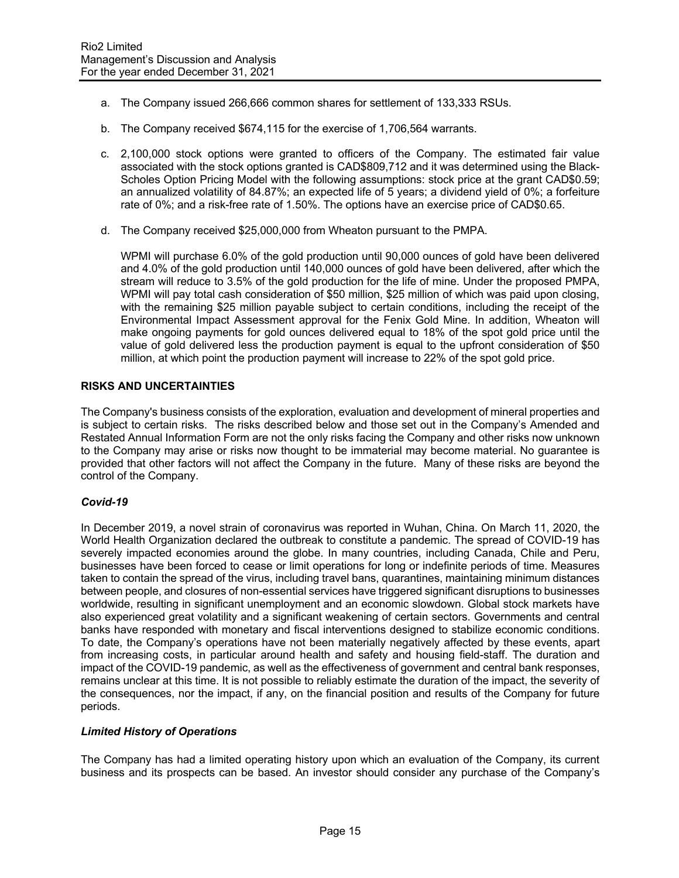- a. The Company issued 266,666 common shares for settlement of 133,333 RSUs.
- b. The Company received \$674,115 for the exercise of 1,706,564 warrants.
- c. 2,100,000 stock options were granted to officers of the Company. The estimated fair value associated with the stock options granted is CAD\$809,712 and it was determined using the Black-Scholes Option Pricing Model with the following assumptions: stock price at the grant CAD\$0.59; an annualized volatility of 84.87%; an expected life of 5 years; a dividend yield of 0%; a forfeiture rate of 0%; and a risk-free rate of 1.50%. The options have an exercise price of CAD\$0.65.
- d. The Company received \$25,000,000 from Wheaton pursuant to the PMPA.

WPMI will purchase 6.0% of the gold production until 90,000 ounces of gold have been delivered and 4.0% of the gold production until 140,000 ounces of gold have been delivered, after which the stream will reduce to 3.5% of the gold production for the life of mine. Under the proposed PMPA, WPMI will pay total cash consideration of \$50 million, \$25 million of which was paid upon closing, with the remaining \$25 million payable subject to certain conditions, including the receipt of the Environmental Impact Assessment approval for the Fenix Gold Mine. In addition, Wheaton will make ongoing payments for gold ounces delivered equal to 18% of the spot gold price until the value of gold delivered less the production payment is equal to the upfront consideration of \$50 million, at which point the production payment will increase to 22% of the spot gold price.

### **RISKS AND UNCERTAINTIES**

The Company's business consists of the exploration, evaluation and development of mineral properties and is subject to certain risks. The risks described below and those set out in the Company's Amended and Restated Annual Information Form are not the only risks facing the Company and other risks now unknown to the Company may arise or risks now thought to be immaterial may become material. No guarantee is provided that other factors will not affect the Company in the future. Many of these risks are beyond the control of the Company.

# *Covid-19*

In December 2019, a novel strain of coronavirus was reported in Wuhan, China. On March 11, 2020, the World Health Organization declared the outbreak to constitute a pandemic. The spread of COVID-19 has severely impacted economies around the globe. In many countries, including Canada, Chile and Peru, businesses have been forced to cease or limit operations for long or indefinite periods of time. Measures taken to contain the spread of the virus, including travel bans, quarantines, maintaining minimum distances between people, and closures of non-essential services have triggered significant disruptions to businesses worldwide, resulting in significant unemployment and an economic slowdown. Global stock markets have also experienced great volatility and a significant weakening of certain sectors. Governments and central banks have responded with monetary and fiscal interventions designed to stabilize economic conditions. To date, the Company's operations have not been materially negatively affected by these events, apart from increasing costs, in particular around health and safety and housing field-staff. The duration and impact of the COVID-19 pandemic, as well as the effectiveness of government and central bank responses, remains unclear at this time. It is not possible to reliably estimate the duration of the impact, the severity of the consequences, nor the impact, if any, on the financial position and results of the Company for future periods.

### *Limited History of Operations*

The Company has had a limited operating history upon which an evaluation of the Company, its current business and its prospects can be based. An investor should consider any purchase of the Company's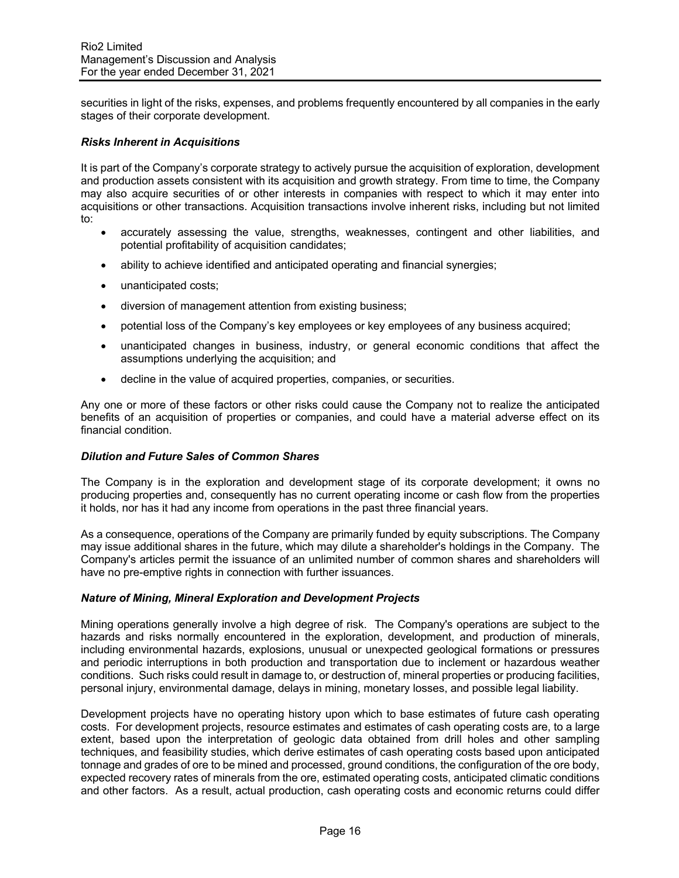securities in light of the risks, expenses, and problems frequently encountered by all companies in the early stages of their corporate development.

### *Risks Inherent in Acquisitions*

It is part of the Company's corporate strategy to actively pursue the acquisition of exploration, development and production assets consistent with its acquisition and growth strategy. From time to time, the Company may also acquire securities of or other interests in companies with respect to which it may enter into acquisitions or other transactions. Acquisition transactions involve inherent risks, including but not limited to:

- accurately assessing the value, strengths, weaknesses, contingent and other liabilities, and potential profitability of acquisition candidates;
- ability to achieve identified and anticipated operating and financial synergies;
- unanticipated costs;
- diversion of management attention from existing business;
- potential loss of the Company's key employees or key employees of any business acquired;
- unanticipated changes in business, industry, or general economic conditions that affect the assumptions underlying the acquisition; and
- decline in the value of acquired properties, companies, or securities.

Any one or more of these factors or other risks could cause the Company not to realize the anticipated benefits of an acquisition of properties or companies, and could have a material adverse effect on its financial condition.

## *Dilution and Future Sales of Common Shares*

The Company is in the exploration and development stage of its corporate development; it owns no producing properties and, consequently has no current operating income or cash flow from the properties it holds, nor has it had any income from operations in the past three financial years.

As a consequence, operations of the Company are primarily funded by equity subscriptions. The Company may issue additional shares in the future, which may dilute a shareholder's holdings in the Company. The Company's articles permit the issuance of an unlimited number of common shares and shareholders will have no pre-emptive rights in connection with further issuances.

### *Nature of Mining, Mineral Exploration and Development Projects*

Mining operations generally involve a high degree of risk. The Company's operations are subject to the hazards and risks normally encountered in the exploration, development, and production of minerals, including environmental hazards, explosions, unusual or unexpected geological formations or pressures and periodic interruptions in both production and transportation due to inclement or hazardous weather conditions. Such risks could result in damage to, or destruction of, mineral properties or producing facilities, personal injury, environmental damage, delays in mining, monetary losses, and possible legal liability.

Development projects have no operating history upon which to base estimates of future cash operating costs. For development projects, resource estimates and estimates of cash operating costs are, to a large extent, based upon the interpretation of geologic data obtained from drill holes and other sampling techniques, and feasibility studies, which derive estimates of cash operating costs based upon anticipated tonnage and grades of ore to be mined and processed, ground conditions, the configuration of the ore body, expected recovery rates of minerals from the ore, estimated operating costs, anticipated climatic conditions and other factors. As a result, actual production, cash operating costs and economic returns could differ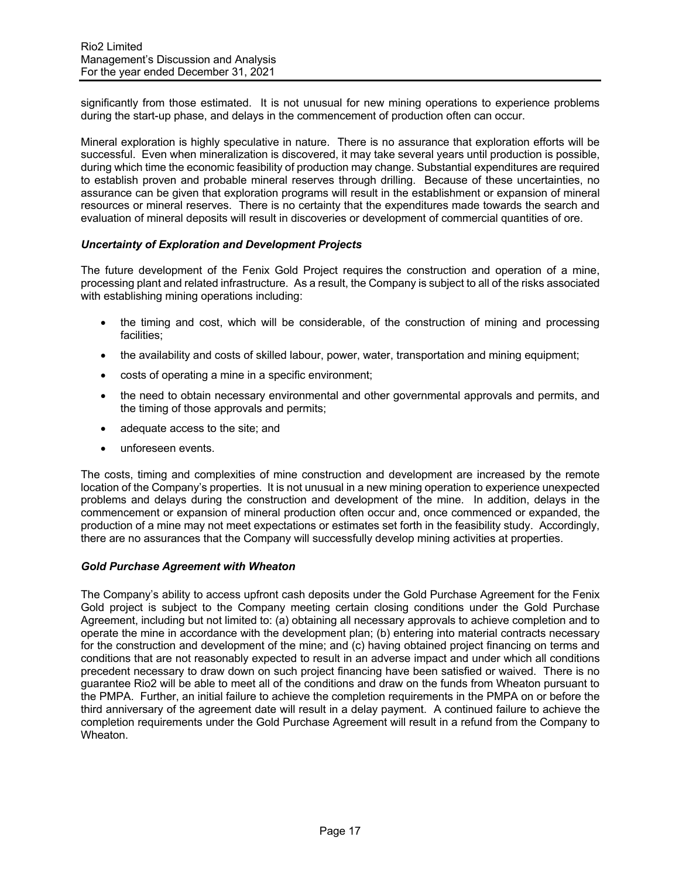significantly from those estimated. It is not unusual for new mining operations to experience problems during the start-up phase, and delays in the commencement of production often can occur.

Mineral exploration is highly speculative in nature. There is no assurance that exploration efforts will be successful. Even when mineralization is discovered, it may take several years until production is possible, during which time the economic feasibility of production may change. Substantial expenditures are required to establish proven and probable mineral reserves through drilling. Because of these uncertainties, no assurance can be given that exploration programs will result in the establishment or expansion of mineral resources or mineral reserves. There is no certainty that the expenditures made towards the search and evaluation of mineral deposits will result in discoveries or development of commercial quantities of ore.

## *Uncertainty of Exploration and Development Projects*

The future development of the Fenix Gold Project requires the construction and operation of a mine, processing plant and related infrastructure. As a result, the Company is subject to all of the risks associated with establishing mining operations including:

- the timing and cost, which will be considerable, of the construction of mining and processing facilities;
- the availability and costs of skilled labour, power, water, transportation and mining equipment;
- costs of operating a mine in a specific environment;
- the need to obtain necessary environmental and other governmental approvals and permits, and the timing of those approvals and permits;
- adequate access to the site; and
- unforeseen events.

The costs, timing and complexities of mine construction and development are increased by the remote location of the Company's properties. It is not unusual in a new mining operation to experience unexpected problems and delays during the construction and development of the mine. In addition, delays in the commencement or expansion of mineral production often occur and, once commenced or expanded, the production of a mine may not meet expectations or estimates set forth in the feasibility study. Accordingly, there are no assurances that the Company will successfully develop mining activities at properties.

### *Gold Purchase Agreement with Wheaton*

The Company's ability to access upfront cash deposits under the Gold Purchase Agreement for the Fenix Gold project is subject to the Company meeting certain closing conditions under the Gold Purchase Agreement, including but not limited to: (a) obtaining all necessary approvals to achieve completion and to operate the mine in accordance with the development plan; (b) entering into material contracts necessary for the construction and development of the mine; and (c) having obtained project financing on terms and conditions that are not reasonably expected to result in an adverse impact and under which all conditions precedent necessary to draw down on such project financing have been satisfied or waived. There is no guarantee Rio2 will be able to meet all of the conditions and draw on the funds from Wheaton pursuant to the PMPA. Further, an initial failure to achieve the completion requirements in the PMPA on or before the third anniversary of the agreement date will result in a delay payment. A continued failure to achieve the completion requirements under the Gold Purchase Agreement will result in a refund from the Company to Wheaton.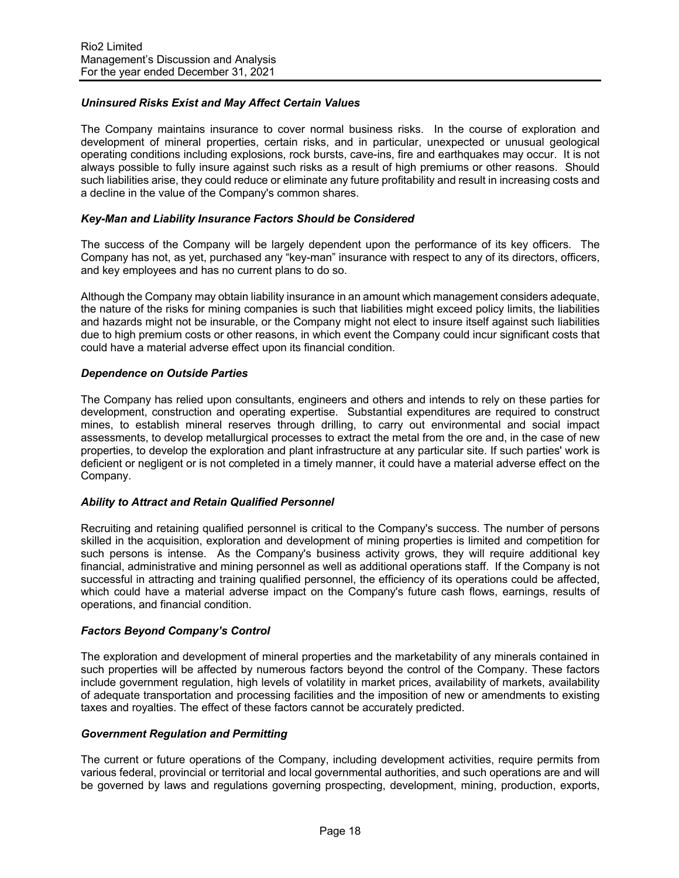# *Uninsured Risks Exist and May Affect Certain Values*

The Company maintains insurance to cover normal business risks. In the course of exploration and development of mineral properties, certain risks, and in particular, unexpected or unusual geological operating conditions including explosions, rock bursts, cave-ins, fire and earthquakes may occur. It is not always possible to fully insure against such risks as a result of high premiums or other reasons. Should such liabilities arise, they could reduce or eliminate any future profitability and result in increasing costs and a decline in the value of the Company's common shares.

### *Key-Man and Liability Insurance Factors Should be Considered*

The success of the Company will be largely dependent upon the performance of its key officers. The Company has not, as yet, purchased any "key-man" insurance with respect to any of its directors, officers, and key employees and has no current plans to do so.

Although the Company may obtain liability insurance in an amount which management considers adequate, the nature of the risks for mining companies is such that liabilities might exceed policy limits, the liabilities and hazards might not be insurable, or the Company might not elect to insure itself against such liabilities due to high premium costs or other reasons, in which event the Company could incur significant costs that could have a material adverse effect upon its financial condition.

### *Dependence on Outside Parties*

The Company has relied upon consultants, engineers and others and intends to rely on these parties for development, construction and operating expertise. Substantial expenditures are required to construct mines, to establish mineral reserves through drilling, to carry out environmental and social impact assessments, to develop metallurgical processes to extract the metal from the ore and, in the case of new properties, to develop the exploration and plant infrastructure at any particular site. If such parties' work is deficient or negligent or is not completed in a timely manner, it could have a material adverse effect on the Company.

### *Ability to Attract and Retain Qualified Personnel*

Recruiting and retaining qualified personnel is critical to the Company's success. The number of persons skilled in the acquisition, exploration and development of mining properties is limited and competition for such persons is intense. As the Company's business activity grows, they will require additional key financial, administrative and mining personnel as well as additional operations staff. If the Company is not successful in attracting and training qualified personnel, the efficiency of its operations could be affected, which could have a material adverse impact on the Company's future cash flows, earnings, results of operations, and financial condition.

### *Factors Beyond Company's Control*

The exploration and development of mineral properties and the marketability of any minerals contained in such properties will be affected by numerous factors beyond the control of the Company. These factors include government regulation, high levels of volatility in market prices, availability of markets, availability of adequate transportation and processing facilities and the imposition of new or amendments to existing taxes and royalties. The effect of these factors cannot be accurately predicted.

### *Government Regulation and Permitting*

The current or future operations of the Company, including development activities, require permits from various federal, provincial or territorial and local governmental authorities, and such operations are and will be governed by laws and regulations governing prospecting, development, mining, production, exports,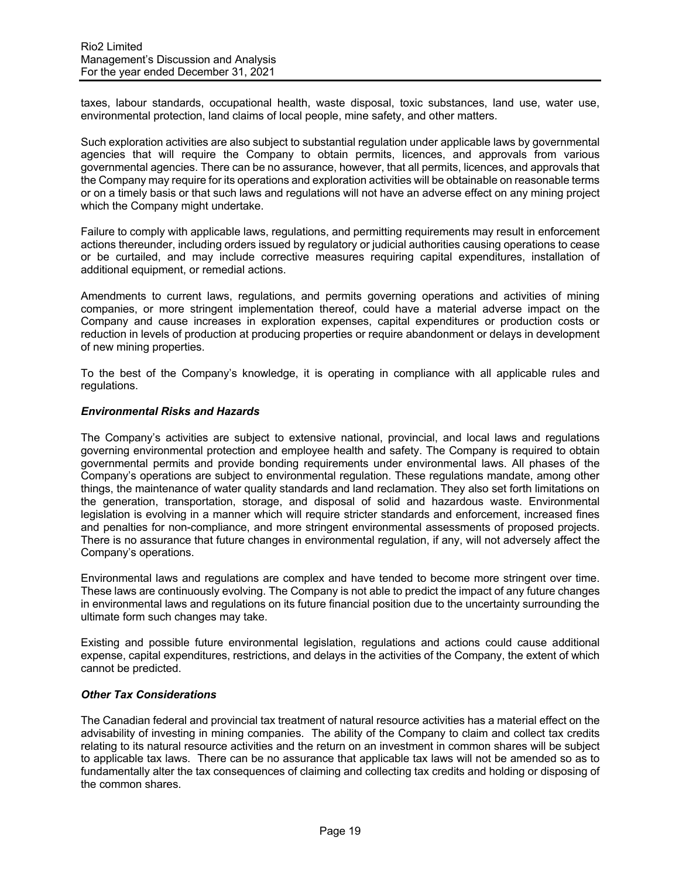taxes, labour standards, occupational health, waste disposal, toxic substances, land use, water use, environmental protection, land claims of local people, mine safety, and other matters.

Such exploration activities are also subject to substantial regulation under applicable laws by governmental agencies that will require the Company to obtain permits, licences, and approvals from various governmental agencies. There can be no assurance, however, that all permits, licences, and approvals that the Company may require for its operations and exploration activities will be obtainable on reasonable terms or on a timely basis or that such laws and regulations will not have an adverse effect on any mining project which the Company might undertake.

Failure to comply with applicable laws, regulations, and permitting requirements may result in enforcement actions thereunder, including orders issued by regulatory or judicial authorities causing operations to cease or be curtailed, and may include corrective measures requiring capital expenditures, installation of additional equipment, or remedial actions.

Amendments to current laws, regulations, and permits governing operations and activities of mining companies, or more stringent implementation thereof, could have a material adverse impact on the Company and cause increases in exploration expenses, capital expenditures or production costs or reduction in levels of production at producing properties or require abandonment or delays in development of new mining properties.

To the best of the Company's knowledge, it is operating in compliance with all applicable rules and regulations.

### *Environmental Risks and Hazards*

The Company's activities are subject to extensive national, provincial, and local laws and regulations governing environmental protection and employee health and safety. The Company is required to obtain governmental permits and provide bonding requirements under environmental laws. All phases of the Company's operations are subject to environmental regulation. These regulations mandate, among other things, the maintenance of water quality standards and land reclamation. They also set forth limitations on the generation, transportation, storage, and disposal of solid and hazardous waste. Environmental legislation is evolving in a manner which will require stricter standards and enforcement, increased fines and penalties for non-compliance, and more stringent environmental assessments of proposed projects. There is no assurance that future changes in environmental regulation, if any, will not adversely affect the Company's operations.

Environmental laws and regulations are complex and have tended to become more stringent over time. These laws are continuously evolving. The Company is not able to predict the impact of any future changes in environmental laws and regulations on its future financial position due to the uncertainty surrounding the ultimate form such changes may take.

Existing and possible future environmental legislation, regulations and actions could cause additional expense, capital expenditures, restrictions, and delays in the activities of the Company, the extent of which cannot be predicted.

## *Other Tax Considerations*

The Canadian federal and provincial tax treatment of natural resource activities has a material effect on the advisability of investing in mining companies. The ability of the Company to claim and collect tax credits relating to its natural resource activities and the return on an investment in common shares will be subject to applicable tax laws. There can be no assurance that applicable tax laws will not be amended so as to fundamentally alter the tax consequences of claiming and collecting tax credits and holding or disposing of the common shares.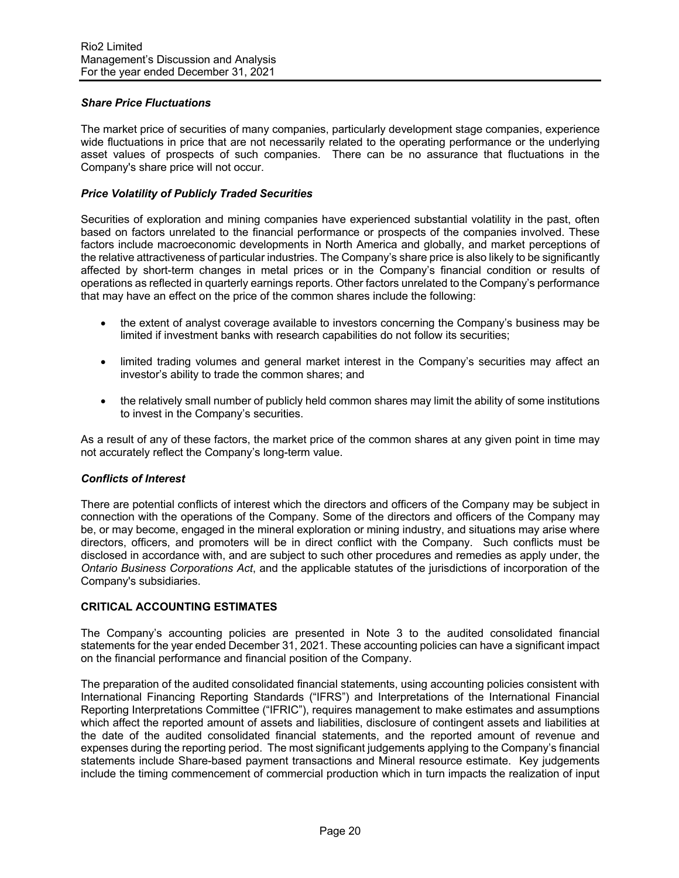# *Share Price Fluctuations*

The market price of securities of many companies, particularly development stage companies, experience wide fluctuations in price that are not necessarily related to the operating performance or the underlying asset values of prospects of such companies. There can be no assurance that fluctuations in the Company's share price will not occur.

### *Price Volatility of Publicly Traded Securities*

Securities of exploration and mining companies have experienced substantial volatility in the past, often based on factors unrelated to the financial performance or prospects of the companies involved. These factors include macroeconomic developments in North America and globally, and market perceptions of the relative attractiveness of particular industries. The Company's share price is also likely to be significantly affected by short-term changes in metal prices or in the Company's financial condition or results of operations as reflected in quarterly earnings reports. Other factors unrelated to the Company's performance that may have an effect on the price of the common shares include the following:

- the extent of analyst coverage available to investors concerning the Company's business may be limited if investment banks with research capabilities do not follow its securities;
- limited trading volumes and general market interest in the Company's securities may affect an investor's ability to trade the common shares; and
- the relatively small number of publicly held common shares may limit the ability of some institutions to invest in the Company's securities.

As a result of any of these factors, the market price of the common shares at any given point in time may not accurately reflect the Company's long-term value.

### *Conflicts of Interest*

There are potential conflicts of interest which the directors and officers of the Company may be subject in connection with the operations of the Company. Some of the directors and officers of the Company may be, or may become, engaged in the mineral exploration or mining industry, and situations may arise where directors, officers, and promoters will be in direct conflict with the Company. Such conflicts must be disclosed in accordance with, and are subject to such other procedures and remedies as apply under, the *Ontario Business Corporations Act*, and the applicable statutes of the jurisdictions of incorporation of the Company's subsidiaries.

### **CRITICAL ACCOUNTING ESTIMATES**

The Company's accounting policies are presented in Note 3 to the audited consolidated financial statements for the year ended December 31, 2021. These accounting policies can have a significant impact on the financial performance and financial position of the Company.

The preparation of the audited consolidated financial statements, using accounting policies consistent with International Financing Reporting Standards ("IFRS") and Interpretations of the International Financial Reporting Interpretations Committee ("IFRIC"), requires management to make estimates and assumptions which affect the reported amount of assets and liabilities, disclosure of contingent assets and liabilities at the date of the audited consolidated financial statements, and the reported amount of revenue and expenses during the reporting period. The most significant judgements applying to the Company's financial statements include Share-based payment transactions and Mineral resource estimate. Key judgements include the timing commencement of commercial production which in turn impacts the realization of input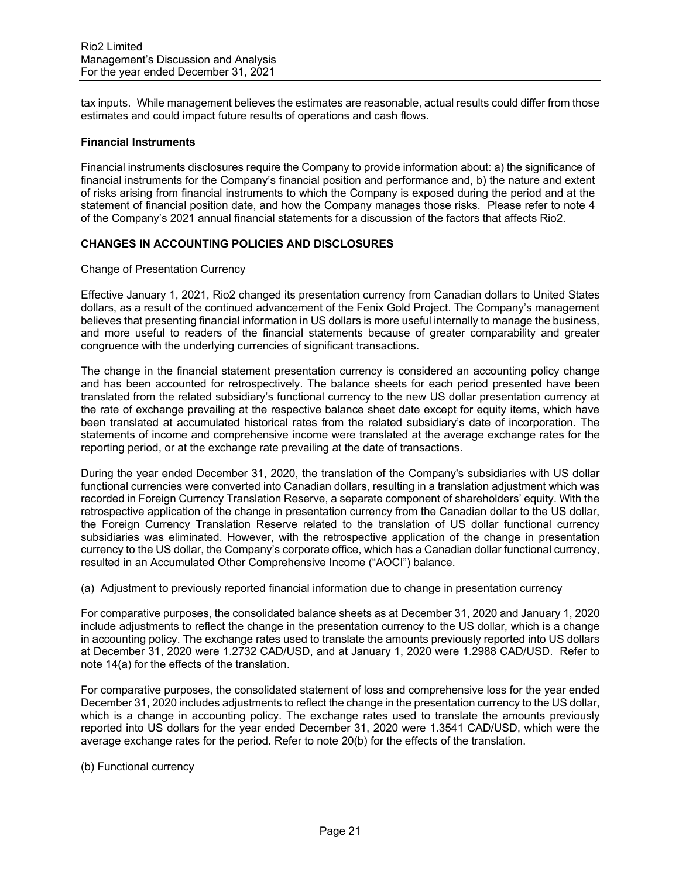tax inputs. While management believes the estimates are reasonable, actual results could differ from those estimates and could impact future results of operations and cash flows.

#### **Financial Instruments**

Financial instruments disclosures require the Company to provide information about: a) the significance of financial instruments for the Company's financial position and performance and, b) the nature and extent of risks arising from financial instruments to which the Company is exposed during the period and at the statement of financial position date, and how the Company manages those risks. Please refer to note 4 of the Company's 2021 annual financial statements for a discussion of the factors that affects Rio2.

## **CHANGES IN ACCOUNTING POLICIES AND DISCLOSURES**

#### Change of Presentation Currency

Effective January 1, 2021, Rio2 changed its presentation currency from Canadian dollars to United States dollars, as a result of the continued advancement of the Fenix Gold Project. The Company's management believes that presenting financial information in US dollars is more useful internally to manage the business, and more useful to readers of the financial statements because of greater comparability and greater congruence with the underlying currencies of significant transactions.

The change in the financial statement presentation currency is considered an accounting policy change and has been accounted for retrospectively. The balance sheets for each period presented have been translated from the related subsidiary's functional currency to the new US dollar presentation currency at the rate of exchange prevailing at the respective balance sheet date except for equity items, which have been translated at accumulated historical rates from the related subsidiary's date of incorporation. The statements of income and comprehensive income were translated at the average exchange rates for the reporting period, or at the exchange rate prevailing at the date of transactions.

During the year ended December 31, 2020, the translation of the Company's subsidiaries with US dollar functional currencies were converted into Canadian dollars, resulting in a translation adjustment which was recorded in Foreign Currency Translation Reserve, a separate component of shareholders' equity. With the retrospective application of the change in presentation currency from the Canadian dollar to the US dollar, the Foreign Currency Translation Reserve related to the translation of US dollar functional currency subsidiaries was eliminated. However, with the retrospective application of the change in presentation currency to the US dollar, the Company's corporate office, which has a Canadian dollar functional currency, resulted in an Accumulated Other Comprehensive Income ("AOCI") balance.

(a) Adjustment to previously reported financial information due to change in presentation currency

For comparative purposes, the consolidated balance sheets as at December 31, 2020 and January 1, 2020 include adjustments to reflect the change in the presentation currency to the US dollar, which is a change in accounting policy. The exchange rates used to translate the amounts previously reported into US dollars at December 31, 2020 were 1.2732 CAD/USD, and at January 1, 2020 were 1.2988 CAD/USD. Refer to note 14(a) for the effects of the translation.

For comparative purposes, the consolidated statement of loss and comprehensive loss for the year ended December 31, 2020 includes adjustments to reflect the change in the presentation currency to the US dollar, which is a change in accounting policy. The exchange rates used to translate the amounts previously reported into US dollars for the year ended December 31, 2020 were 1.3541 CAD/USD, which were the average exchange rates for the period. Refer to note 20(b) for the effects of the translation.

(b) Functional currency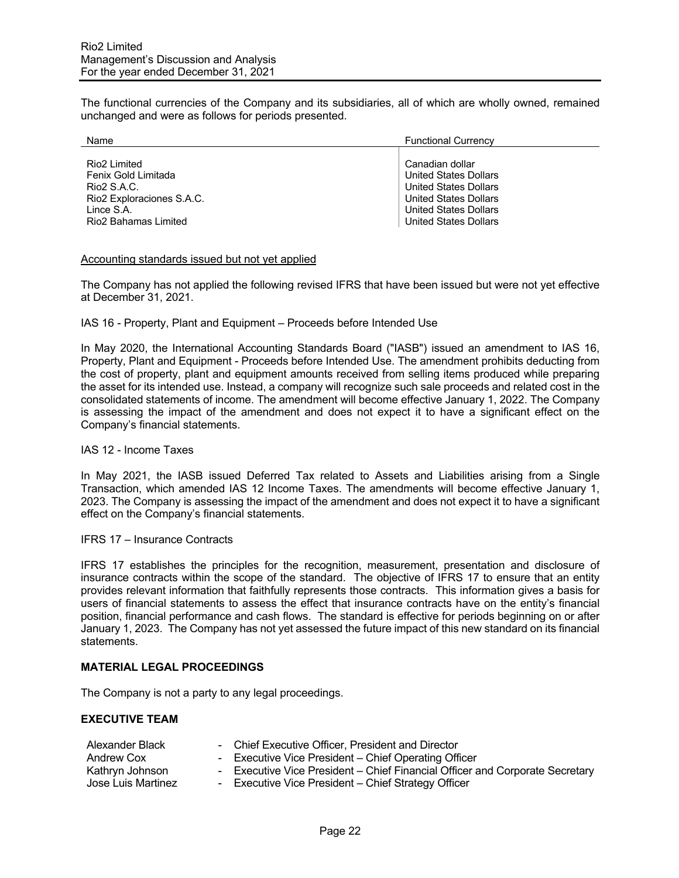The functional currencies of the Company and its subsidiaries, all of which are wholly owned, remained unchanged and were as follows for periods presented.

| Name                                                                                                                  | <b>Functional Currency</b>                                                                                                                      |
|-----------------------------------------------------------------------------------------------------------------------|-------------------------------------------------------------------------------------------------------------------------------------------------|
| Rio <sub>2</sub> Limited<br>Fenix Gold Limitada<br>Rio <sub>2</sub> S.A.C.<br>Rio2 Exploraciones S.A.C.<br>Lince S.A. | Canadian dollar<br><b>United States Dollars</b><br><b>United States Dollars</b><br><b>United States Dollars</b><br><b>United States Dollars</b> |
| Rio2 Bahamas Limited                                                                                                  | <b>United States Dollars</b>                                                                                                                    |

#### Accounting standards issued but not yet applied

The Company has not applied the following revised IFRS that have been issued but were not yet effective at December 31, 2021.

#### IAS 16 - Property, Plant and Equipment – Proceeds before Intended Use

In May 2020, the International Accounting Standards Board ("IASB") issued an amendment to IAS 16, Property, Plant and Equipment - Proceeds before Intended Use. The amendment prohibits deducting from the cost of property, plant and equipment amounts received from selling items produced while preparing the asset for its intended use. Instead, a company will recognize such sale proceeds and related cost in the consolidated statements of income. The amendment will become effective January 1, 2022. The Company is assessing the impact of the amendment and does not expect it to have a significant effect on the Company's financial statements.

#### IAS 12 - Income Taxes

In May 2021, the IASB issued Deferred Tax related to Assets and Liabilities arising from a Single Transaction, which amended IAS 12 Income Taxes. The amendments will become effective January 1, 2023. The Company is assessing the impact of the amendment and does not expect it to have a significant effect on the Company's financial statements.

IFRS 17 – Insurance Contracts

IFRS 17 establishes the principles for the recognition, measurement, presentation and disclosure of insurance contracts within the scope of the standard. The objective of IFRS 17 to ensure that an entity provides relevant information that faithfully represents those contracts. This information gives a basis for users of financial statements to assess the effect that insurance contracts have on the entity's financial position, financial performance and cash flows. The standard is effective for periods beginning on or after January 1, 2023. The Company has not yet assessed the future impact of this new standard on its financial statements.

### **MATERIAL LEGAL PROCEEDINGS**

The Company is not a party to any legal proceedings.

### **EXECUTIVE TEAM**

| Alexander Black    | - Chief Executive Officer, President and Director                            |
|--------------------|------------------------------------------------------------------------------|
| Andrew Cox         | - Executive Vice President - Chief Operating Officer                         |
| Kathryn Johnson    | - Executive Vice President – Chief Financial Officer and Corporate Secretary |
| Jose Luis Martinez | - Executive Vice President – Chief Strategy Officer                          |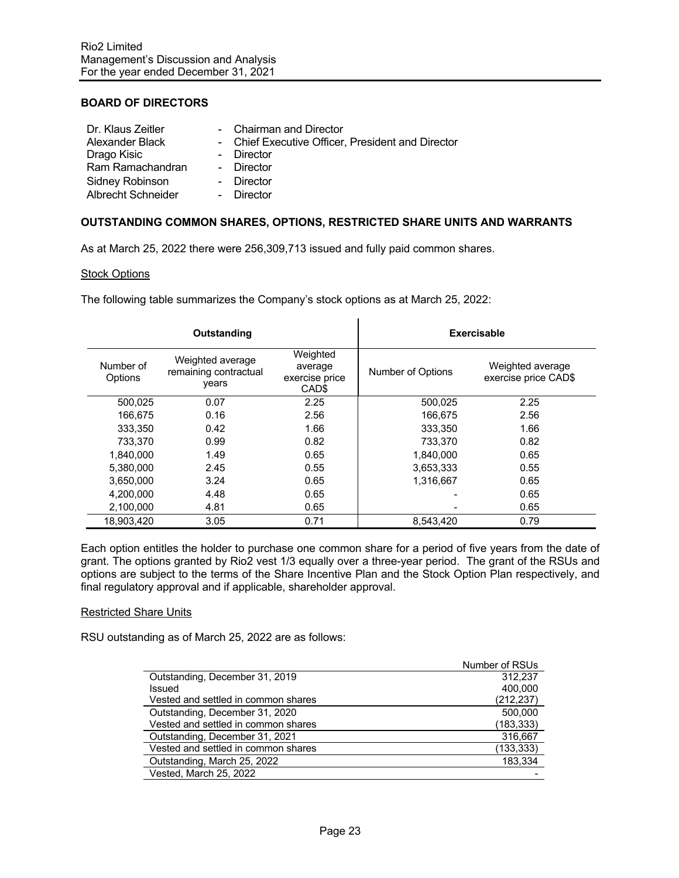# **BOARD OF DIRECTORS**

| Dr. Klaus Zeitler         | - Chairman and Director                           |
|---------------------------|---------------------------------------------------|
| Alexander Black           | - Chief Executive Officer, President and Director |
| Drago Kisic               | - Director                                        |
| Ram Ramachandran          | - Director                                        |
| Sidney Robinson           | - Director                                        |
| <b>Albrecht Schneider</b> | - Director                                        |

### **OUTSTANDING COMMON SHARES, OPTIONS, RESTRICTED SHARE UNITS AND WARRANTS**

As at March 25, 2022 there were 256,309,713 issued and fully paid common shares.

#### **Stock Options**

The following table summarizes the Company's stock options as at March 25, 2022:

| Outstanding          |                                                    |                                                | Exercisable       |                                          |  |
|----------------------|----------------------------------------------------|------------------------------------------------|-------------------|------------------------------------------|--|
| Number of<br>Options | Weighted average<br>remaining contractual<br>vears | Weighted<br>average<br>exercise price<br>CAD\$ | Number of Options | Weighted average<br>exercise price CAD\$ |  |
| 500.025              | 0.07                                               | 2.25                                           | 500,025           | 2.25                                     |  |
| 166.675              | 0.16                                               | 2.56                                           | 166.675           | 2.56                                     |  |
| 333.350              | 0.42                                               | 1.66                                           | 333.350           | 1.66                                     |  |
| 733,370              | 0.99                                               | 0.82                                           | 733,370           | 0.82                                     |  |
| 1.840.000            | 1.49                                               | 0.65                                           | 1,840,000         | 0.65                                     |  |
| 5.380.000            | 2.45                                               | 0.55                                           | 3,653,333         | 0.55                                     |  |
| 3.650.000            | 3.24                                               | 0.65                                           | 1.316.667         | 0.65                                     |  |
| 4.200.000            | 4.48                                               | 0.65                                           |                   | 0.65                                     |  |
| 2.100.000            | 4.81                                               | 0.65                                           |                   | 0.65                                     |  |
| 18.903.420           | 3.05                                               | 0.71                                           | 8.543.420         | 0.79                                     |  |

Each option entitles the holder to purchase one common share for a period of five years from the date of grant. The options granted by Rio2 vest 1/3 equally over a three-year period. The grant of the RSUs and options are subject to the terms of the Share Incentive Plan and the Stock Option Plan respectively, and final regulatory approval and if applicable, shareholder approval.

### Restricted Share Units

RSU outstanding as of March 25, 2022 are as follows:

|                                     | Number of RSUs |
|-------------------------------------|----------------|
| Outstanding, December 31, 2019      | 312.237        |
| Issued                              | 400.000        |
| Vested and settled in common shares | (212, 237)     |
| Outstanding, December 31, 2020      | 500.000        |
| Vested and settled in common shares | (183,333)      |
| Outstanding, December 31, 2021      | 316,667        |
| Vested and settled in common shares | (133, 333)     |
| Outstanding, March 25, 2022         | 183,334        |
| Vested, March 25, 2022              |                |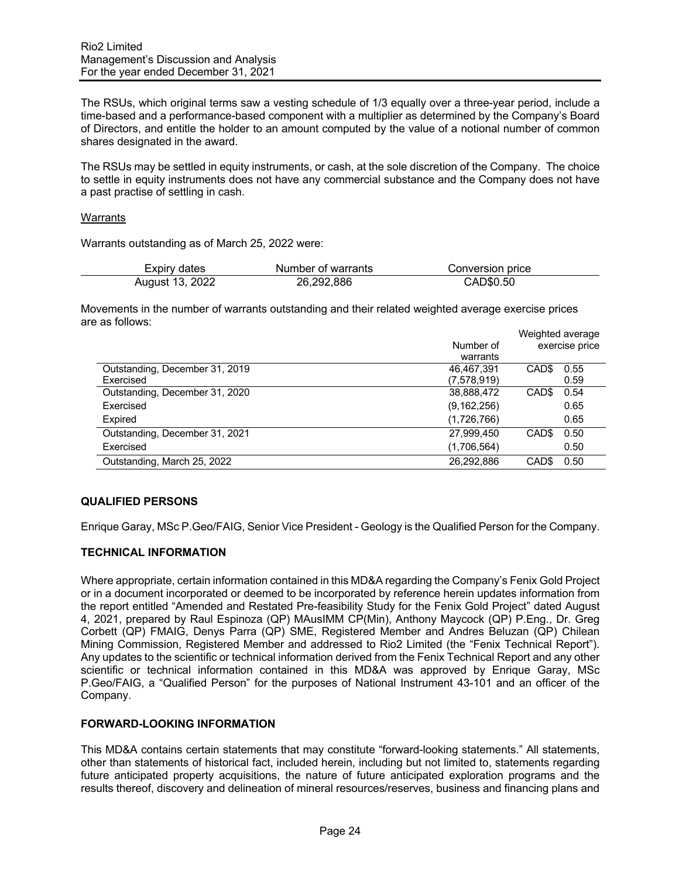The RSUs, which original terms saw a vesting schedule of 1/3 equally over a three-year period, include a time-based and a performance-based component with a multiplier as determined by the Company's Board of Directors, and entitle the holder to an amount computed by the value of a notional number of common shares designated in the award.

The RSUs may be settled in equity instruments, or cash, at the sole discretion of the Company. The choice to settle in equity instruments does not have any commercial substance and the Company does not have a past practise of settling in cash.

#### Warrants

Warrants outstanding as of March 25, 2022 were:

| Expiry dates    | Number of warrants | Conversion price |
|-----------------|--------------------|------------------|
| August 13, 2022 | 26,292,886         | CAD\$0.50        |

Movements in the number of warrants outstanding and their related weighted average exercise prices are as follows:

|                                | Weighted average |                   |      |
|--------------------------------|------------------|-------------------|------|
|                                | Number of        | exercise price    |      |
|                                | warrants         |                   |      |
| Outstanding, December 31, 2019 | 46.467.391       | CAD <sub>\$</sub> | 0.55 |
| Exercised                      | (7,578,919)      |                   | 0.59 |
| Outstanding, December 31, 2020 | 38,888,472       | CAD <sub>\$</sub> | 0.54 |
| Exercised                      | (9, 162, 256)    |                   | 0.65 |
| Expired                        | (1,726,766)      |                   | 0.65 |
| Outstanding, December 31, 2021 | 27,999,450       | CAD <sub>\$</sub> | 0.50 |
| Exercised                      | (1,706,564)      |                   | 0.50 |
| Outstanding, March 25, 2022    | 26,292,886       | CAD <sub>\$</sub> | 0.50 |

### **QUALIFIED PERSONS**

Enrique Garay, MSc P.Geo/FAIG, Senior Vice President - Geology is the Qualified Person for the Company.

# **TECHNICAL INFORMATION**

Where appropriate, certain information contained in this MD&A regarding the Company's Fenix Gold Project or in a document incorporated or deemed to be incorporated by reference herein updates information from the report entitled "Amended and Restated Pre-feasibility Study for the Fenix Gold Project" dated August 4, 2021, prepared by Raul Espinoza (QP) MAusIMM CP(Min), Anthony Maycock (QP) P.Eng., Dr. Greg Corbett (QP) FMAIG, Denys Parra (QP) SME, Registered Member and Andres Beluzan (QP) Chilean Mining Commission, Registered Member and addressed to Rio2 Limited (the "Fenix Technical Report"). Any updates to the scientific or technical information derived from the Fenix Technical Report and any other scientific or technical information contained in this MD&A was approved by Enrique Garay, MSc P.Geo/FAIG, a "Qualified Person" for the purposes of National Instrument 43-101 and an officer of the Company.

### **FORWARD-LOOKING INFORMATION**

This MD&A contains certain statements that may constitute "forward-looking statements." All statements, other than statements of historical fact, included herein, including but not limited to, statements regarding future anticipated property acquisitions, the nature of future anticipated exploration programs and the results thereof, discovery and delineation of mineral resources/reserves, business and financing plans and